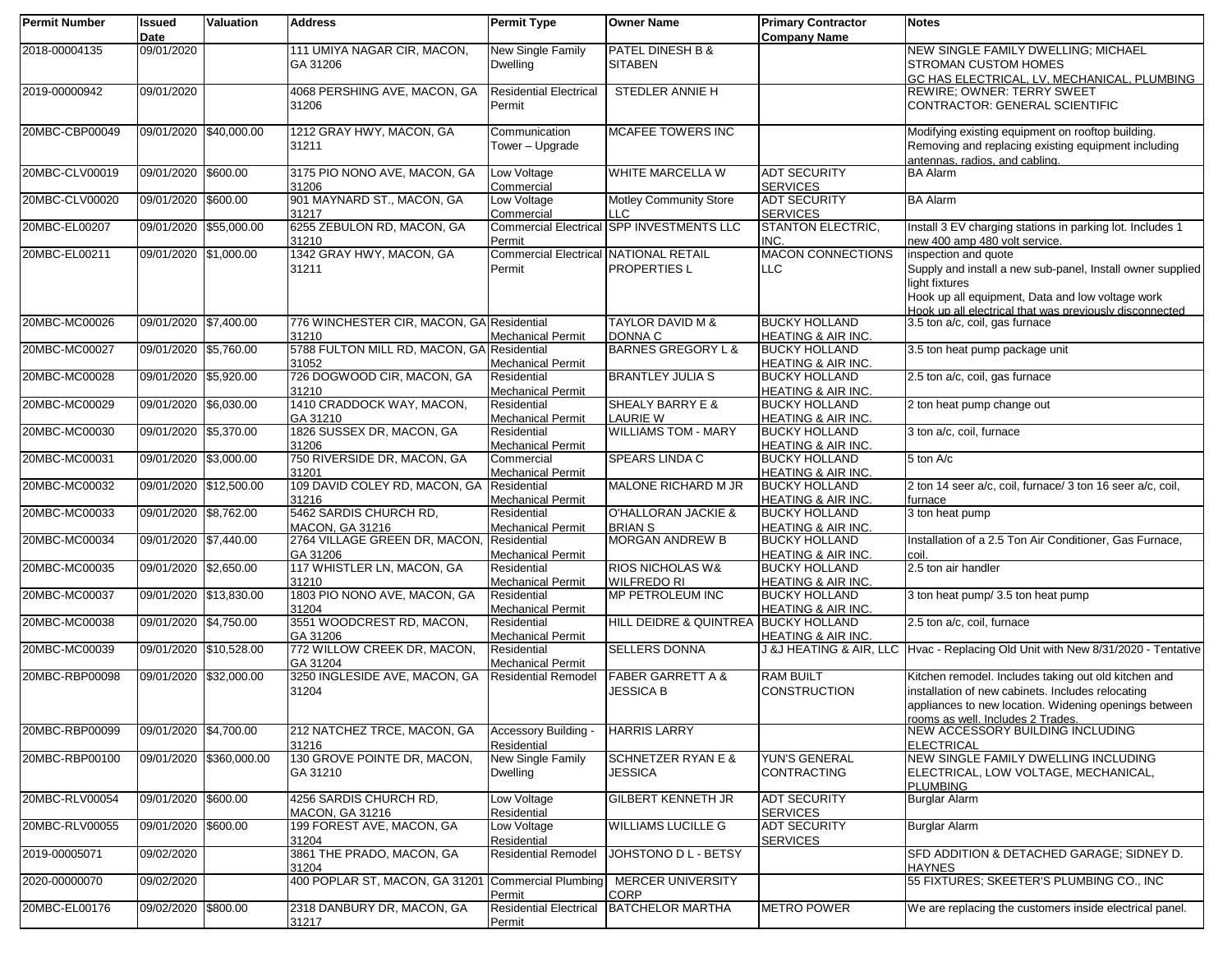| <b>Permit Number</b> | <b>Issued</b><br>Date  | <b>Valuation</b>        | <b>Address</b>                                        | <b>Permit Type</b>                                     | <b>Owner Name</b>                                 | <b>Primary Contractor</b><br><b>Company Name</b>      | <b>Notes</b>                                                                                                                                                                                                        |
|----------------------|------------------------|-------------------------|-------------------------------------------------------|--------------------------------------------------------|---------------------------------------------------|-------------------------------------------------------|---------------------------------------------------------------------------------------------------------------------------------------------------------------------------------------------------------------------|
| 2018-00004135        | 09/01/2020             |                         | 111 UMIYA NAGAR CIR, MACON,<br>GA 31206               | New Single Family<br><b>Dwelling</b>                   | <b>PATEL DINESH B &amp;</b><br><b>SITABEN</b>     |                                                       | <b>NEW SINGLE FAMILY DWELLING; MICHAEL</b><br><b>STROMAN CUSTOM HOMES</b><br>GC HAS ELECTRICAL, LV, MECHANICAL, PLUMBING                                                                                            |
| 2019-00000942        | 09/01/2020             |                         | 4068 PERSHING AVE, MACON, GA<br>31206                 | <b>Residential Electrical</b><br>Permit                | <b>STEDLER ANNIE H</b>                            |                                                       | <b>REWIRE; OWNER: TERRY SWEET</b><br>CONTRACTOR: GENERAL SCIENTIFIC                                                                                                                                                 |
| 20MBC-CBP00049       | 09/01/2020 \$40.000.00 |                         | 1212 GRAY HWY, MACON, GA<br>31211                     | Communication<br>Tower - Upgrade                       | <b>MCAFEE TOWERS INC</b>                          |                                                       | Modifying existing equipment on rooftop building.<br>Removing and replacing existing equipment including<br>antennas, radios, and cabling.                                                                          |
| 20MBC-CLV00019       | 09/01/2020 \$600.00    |                         | 3175 PIO NONO AVE, MACON, GA<br>31206                 | Low Voltage<br>Commercial                              | WHITE MARCELLA W                                  | <b>ADT SECURITY</b><br><b>SERVICES</b>                | <b>BA Alarm</b>                                                                                                                                                                                                     |
| 20MBC-CLV00020       | 09/01/2020 \$600.00    |                         | 901 MAYNARD ST., MACON, GA<br>31217                   | Low Voltage<br>Commercial                              | <b>Motley Community Store</b><br>LLC              | <b>ADT SECURITY</b><br><b>SERVICES</b>                | <b>BA Alarm</b>                                                                                                                                                                                                     |
| 20MBC-EL00207        | 09/01/2020 \$55,000.00 |                         | 6255 ZEBULON RD, MACON, GA<br>31210                   | Permit                                                 | <b>Commercial Electrical SPP INVESTMENTS LLC</b>  | <b>STANTON ELECTRIC,</b><br>INC.                      | Install 3 EV charging stations in parking lot. Includes 1<br>new 400 amp 480 volt service.                                                                                                                          |
| 20MBC-EL00211        | 09/01/2020 \$1,000.00  |                         | 1342 GRAY HWY, MACON, GA<br>31211                     | <b>Commercial Electrical NATIONAL RETAIL</b><br>Permit | <b>PROPERTIES L</b>                               | <b>MACON CONNECTIONS</b><br>LLC                       | inspection and quote<br>Supply and install a new sub-panel, Install owner supplied<br>light fixtures<br>Hook up all equipment, Data and low voltage work<br>Hook up all electrical that was previously disconnected |
| 20MBC-MC00026        | 09/01/2020 \$7,400.00  |                         | 776 WINCHESTER CIR, MACON, GA Residential<br>31210    | <b>Mechanical Permit</b>                               | <b>TAYLOR DAVID M &amp;</b><br><b>DONNA C</b>     | <b>BUCKY HOLLAND</b><br>HEATING & AIR INC.            | 3.5 ton a/c, coil, gas furnace                                                                                                                                                                                      |
| 20MBC-MC00027        | 09/01/2020 \$5,760.00  |                         | 5788 FULTON MILL RD, MACON, GA Residential<br>31052   | <b>Mechanical Permit</b>                               | <b>BARNES GREGORY L &amp;</b>                     | <b>BUCKY HOLLAND</b><br>HEATING & AIR INC.            | 3.5 ton heat pump package unit                                                                                                                                                                                      |
| 20MBC-MC00028        | 09/01/2020 \$5,920.00  |                         | 726 DOGWOOD CIR, MACON, GA<br>31210                   | Residential<br><b>Mechanical Permit</b>                | <b>BRANTLEY JULIA S</b>                           | <b>BUCKY HOLLAND</b><br>HEATING & AIR INC.            | 2.5 ton a/c, coil, gas furnace                                                                                                                                                                                      |
| 20MBC-MC00029        | 09/01/2020 \$6,030.00  |                         | 1410 CRADDOCK WAY, MACON,<br>GA 31210                 | Residential<br><b>Mechanical Permit</b>                | SHEALY BARRY E &<br>LAURIE W                      | <b>BUCKY HOLLAND</b><br>HEATING & AIR INC.            | 2 ton heat pump change out                                                                                                                                                                                          |
| 20MBC-MC00030        | 09/01/2020 \$5,370.00  |                         | 1826 SUSSEX DR, MACON, GA<br>31206                    | Residential<br><b>Mechanical Permit</b>                | <b>WILLIAMS TOM - MARY</b>                        | <b>BUCKY HOLLAND</b><br>HEATING & AIR INC.            | 3 ton a/c, coil, furnace                                                                                                                                                                                            |
| 20MBC-MC00031        | 09/01/2020 \$3,000.00  |                         | 750 RIVERSIDE DR, MACON, GA<br>31201                  | Commercial<br><b>Mechanical Permit</b>                 | <b>SPEARS LINDA C</b>                             | <b>BUCKY HOLLAND</b><br><b>HEATING &amp; AIR INC.</b> | 5 ton A/c                                                                                                                                                                                                           |
| 20MBC-MC00032        | 09/01/2020 \$12,500.00 |                         | 109 DAVID COLEY RD, MACON, GA Residential<br>31216    | <b>Mechanical Permit</b>                               | MALONE RICHARD M JR                               | <b>BUCKY HOLLAND</b><br><b>HEATING &amp; AIR INC.</b> | 2 ton 14 seer a/c, coil, furnace/ 3 ton 16 seer a/c, coil,<br>furnace                                                                                                                                               |
| 20MBC-MC00033        | 09/01/2020 \$8,762.00  |                         | 5462 SARDIS CHURCH RD,<br><b>MACON, GA 31216</b>      | Residential<br><b>Mechanical Permit</b>                | O'HALLORAN JACKIE &<br><b>BRIAN S</b>             | <b>BUCKY HOLLAND</b><br><b>HEATING &amp; AIR INC.</b> | 3 ton heat pump                                                                                                                                                                                                     |
| 20MBC-MC00034        | 09/01/2020 \$7,440.00  |                         | 2764 VILLAGE GREEN DR, MACON, Residential<br>GA 31206 | <b>Mechanical Permit</b>                               | <b>MORGAN ANDREW B</b>                            | <b>BUCKY HOLLAND</b><br><b>HEATING &amp; AIR INC.</b> | Installation of a 2.5 Ton Air Conditioner, Gas Furnace,<br>coil.                                                                                                                                                    |
| 20MBC-MC00035        | 09/01/2020 \$2,650.00  |                         | 117 WHISTLER LN, MACON, GA<br>31210                   | Residential<br><b>Mechanical Permit</b>                | <b>RIOS NICHOLAS W&amp;</b><br><b>WILFREDO RI</b> | <b>BUCKY HOLLAND</b><br><b>HEATING &amp; AIR INC.</b> | 2.5 ton air handler                                                                                                                                                                                                 |
| 20MBC-MC00037        | 09/01/2020 \$13,830.00 |                         | 1803 PIO NONO AVE, MACON, GA<br>31204                 | Residential<br><b>Mechanical Permit</b>                | MP PETROLEUM INC                                  | <b>BUCKY HOLLAND</b><br>HEATING & AIR INC.            | 3 ton heat pump/ 3.5 ton heat pump                                                                                                                                                                                  |
| 20MBC-MC00038        | 09/01/2020 \$4,750.00  |                         | 3551 WOODCREST RD, MACON,<br>GA 31206                 | Residential<br><b>Mechanical Permit</b>                | HILL DEIDRE & QUINTREA BUCKY HOLLAND              | <b>HEATING &amp; AIR INC.</b>                         | 2.5 ton a/c, coil, furnace                                                                                                                                                                                          |
| 20MBC-MC00039        | 09/01/2020 \$10,528.00 |                         | 772 WILLOW CREEK DR, MACON,<br>GA 31204               | Residential<br><b>Mechanical Permit</b>                | <b>SELLERS DONNA</b>                              |                                                       | J &J HEATING & AIR, LLC   Hvac - Replacing Old Unit with New 8/31/2020 - Tentative                                                                                                                                  |
| 20MBC-RBP00098       | 09/01/2020 \$32,000.00 |                         | 3250 INGLESIDE AVE, MACON, GA<br>31204                | <b>Residential Remodel</b>                             | <b>FABER GARRETT A &amp;</b><br><b>JESSICA B</b>  | <b>RAM BUILT</b><br>CONSTRUCTION                      | Kitchen remodel. Includes taking out old kitchen and<br>installation of new cabinets. Includes relocating<br>appliances to new location. Widening openings between<br>rooms as well. Includes 2 Trades.             |
| 20MBC-RBP00099       | 09/01/2020 \$4,700.00  |                         | 212 NATCHEZ TRCE, MACON, GA<br>31216                  | <b>Accessory Building</b><br>Residential               | <b>HARRIS LARRY</b>                               |                                                       | NEW ACCESSORY BUILDING INCLUDING<br><b>ELECTRICAL</b>                                                                                                                                                               |
| 20MBC-RBP00100       |                        | 09/01/2020 \$360,000.00 | 130 GROVE POINTE DR, MACON,<br>GA 31210               | New Single Family<br><b>Dwelling</b>                   | <b>SCHNETZER RYAN E &amp;</b><br><b>JESSICA</b>   | <b>YUN'S GENERAL</b><br>CONTRACTING                   | NEW SINGLE FAMILY DWELLING INCLUDING<br>ELECTRICAL, LOW VOLTAGE, MECHANICAL,<br><b>PLUMBING</b>                                                                                                                     |
| 20MBC-RLV00054       | 09/01/2020 \$600.00    |                         | 4256 SARDIS CHURCH RD.<br><b>MACON, GA 31216</b>      | Low Voltage<br>Residential                             | <b>GILBERT KENNETH JR</b>                         | ADT SECURITY<br><b>SERVICES</b>                       | <b>Burglar Alarm</b>                                                                                                                                                                                                |
| 20MBC-RLV00055       | 09/01/2020 \$600.00    |                         | 199 FOREST AVE, MACON, GA<br>31204                    | Low Voltage<br>Residential                             | <b>WILLIAMS LUCILLE G</b>                         | <b>ADT SECURITY</b><br><b>SERVICES</b>                | <b>Burglar Alarm</b>                                                                                                                                                                                                |
| 2019-00005071        | 09/02/2020             |                         | 3861 THE PRADO, MACON, GA<br>31204                    | <b>Residential Remodel</b>                             | JOHSTONO D L - BETSY                              |                                                       | SFD ADDITION & DETACHED GARAGE; SIDNEY D.<br><b>HAYNES</b>                                                                                                                                                          |
| 2020-00000070        | 09/02/2020             |                         | 400 POPLAR ST, MACON, GA 31201                        | <b>Commercial Plumbing</b><br>Permit                   | <b>MERCER UNIVERSITY</b><br><b>CORP</b>           |                                                       | 55 FIXTURES; SKEETER'S PLUMBING CO., INC                                                                                                                                                                            |
| 20MBC-EL00176        | 09/02/2020 \$800.00    |                         | 2318 DANBURY DR, MACON, GA<br>31217                   | <b>Residential Electrical</b><br>Permit                | <b>BATCHELOR MARTHA</b>                           | <b>METRO POWER</b>                                    | We are replacing the customers inside electrical panel.                                                                                                                                                             |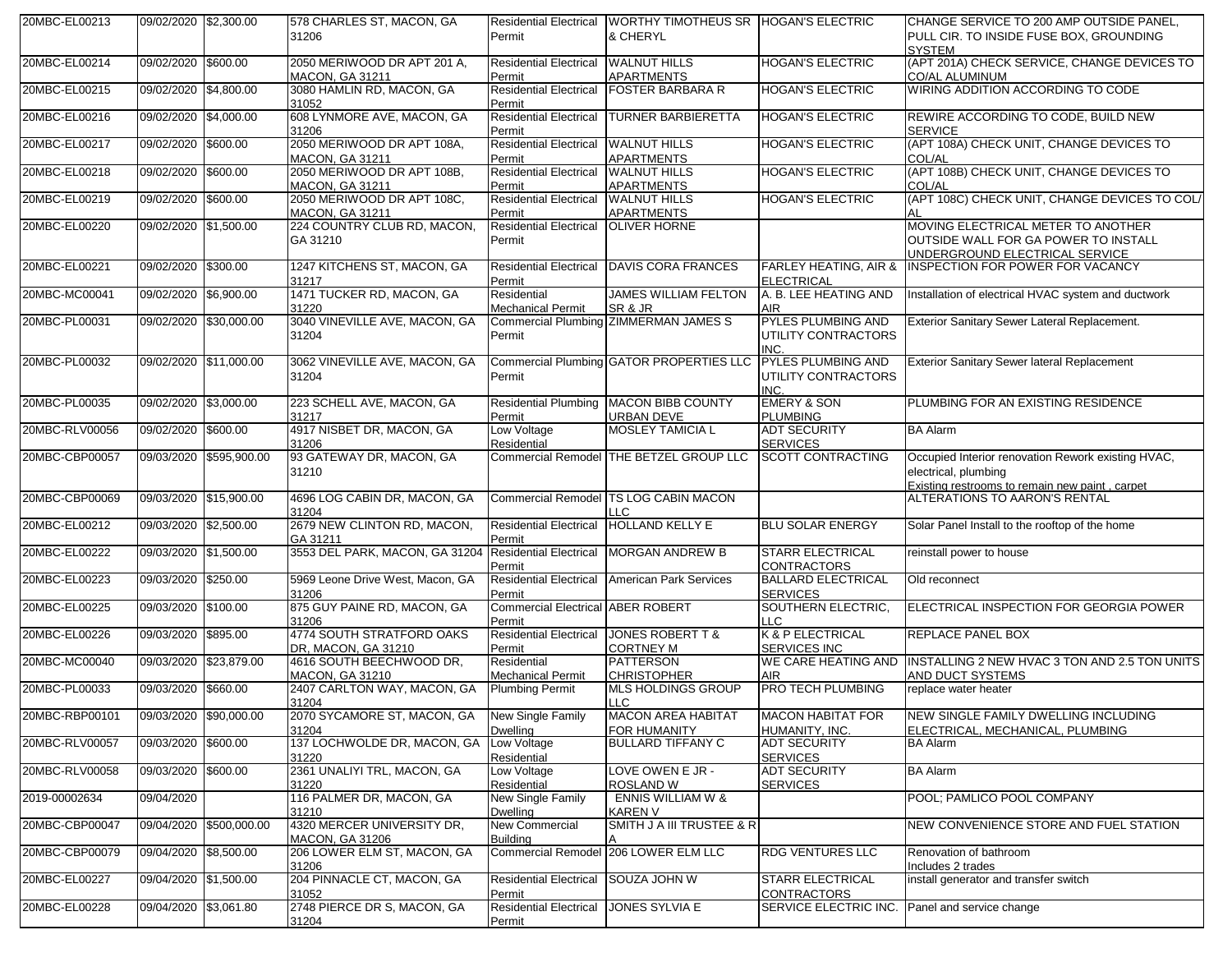| 20MBC-EL00213  | 09/02/2020 \$2,300.00  |                         | 578 CHARLES ST, MACON, GA<br>31206                   | <b>Residential Electrical</b><br>Permit            | WORTHY TIMOTHEUS SR HOGAN'S ELECTRIC<br>& CHERYL            |                                                       | CHANGE SERVICE TO 200 AMP OUTSIDE PANEL,<br>PULL CIR. TO INSIDE FUSE BOX, GROUNDING<br><b>SYSTEM</b>         |
|----------------|------------------------|-------------------------|------------------------------------------------------|----------------------------------------------------|-------------------------------------------------------------|-------------------------------------------------------|--------------------------------------------------------------------------------------------------------------|
| 20MBC-EL00214  | 09/02/2020 \$600.00    |                         | 2050 MERIWOOD DR APT 201 A,<br>MACON, GA 31211       | Residential Electrical WALNUT HILLS<br>Permit      | <b>APARTMENTS</b>                                           | <b>HOGAN'S ELECTRIC</b>                               | (APT 201A) CHECK SERVICE, CHANGE DEVICES TO<br><b>CO/AL ALUMINUM</b>                                         |
| 20MBC-EL00215  | 09/02/2020 \$4,800.00  |                         | 3080 HAMLIN RD, MACON, GA<br>31052                   | <b>Residential Electrical</b><br>Permit            | <b>FOSTER BARBARA R</b>                                     | <b>HOGAN'S ELECTRIC</b>                               | WIRING ADDITION ACCORDING TO CODE                                                                            |
| 20MBC-EL00216  | 09/02/2020 \$4,000.00  |                         | 608 LYNMORE AVE, MACON, GA<br>31206                  | <b>Residential Electrical</b><br>Permit            | <b>TURNER BARBIERETTA</b>                                   | <b>HOGAN'S ELECTRIC</b>                               | REWIRE ACCORDING TO CODE, BUILD NEW<br><b>SERVICE</b>                                                        |
| 20MBC-EL00217  | 09/02/2020 \$600.00    |                         | 2050 MERIWOOD DR APT 108A,<br><b>MACON, GA 31211</b> | <b>Residential Electrical</b><br>Permit            | <b>WALNUT HILLS</b><br><b>APARTMENTS</b>                    | <b>HOGAN'S ELECTRIC</b>                               | (APT 108A) CHECK UNIT, CHANGE DEVICES TO<br><b>COL/AL</b>                                                    |
| 20MBC-EL00218  | 09/02/2020             | \$600.00                | 2050 MERIWOOD DR APT 108B.<br><b>MACON, GA 31211</b> | <b>Residential Electrical</b><br>Permit            | <b>WALNUT HILLS</b><br><b>APARTMENTS</b>                    | <b>HOGAN'S ELECTRIC</b>                               | (APT 108B) CHECK UNIT, CHANGE DEVICES TO<br>COL/AL                                                           |
| 20MBC-EL00219  | 09/02/2020 \$600.00    |                         | 2050 MERIWOOD DR APT 108C,<br>MACON, GA 31211        | <b>Residential Electrical</b><br>Permit            | <b>WALNUT HILLS</b><br><b>APARTMENTS</b>                    | <b>HOGAN'S ELECTRIC</b>                               | (APT 108C) CHECK UNIT, CHANGE DEVICES TO COL/                                                                |
| 20MBC-EL00220  | 09/02/2020 \$1,500.00  |                         | 224 COUNTRY CLUB RD, MACON,<br>GA 31210              | <b>Residential Electrical</b><br>Permit            | <b>OLIVER HORNE</b>                                         |                                                       | MOVING ELECTRICAL METER TO ANOTHER<br>OUTSIDE WALL FOR GA POWER TO INSTALL<br>UNDERGROUND ELECTRICAL SERVICE |
| 20MBC-EL00221  | 09/02/2020 \$300.00    |                         | 1247 KITCHENS ST, MACON, GA<br>31217                 | Permit                                             | Residential Electrical DAVIS CORA FRANCES                   | <b>FARLEY HEATING, AIR &amp;</b><br><b>ELECTRICAL</b> | <b>INSPECTION FOR POWER FOR VACANCY</b>                                                                      |
| 20MBC-MC00041  | 09/02/2020 \$6,900.00  |                         | 1471 TUCKER RD, MACON, GA<br>31220                   | Residential<br><b>Mechanical Permit</b>            | <b>JAMES WILLIAM FELTON</b><br>SR & JR                      | A. B. LEE HEATING AND<br><b>AIR</b>                   | Installation of electrical HVAC system and ductwork                                                          |
| 20MBC-PL00031  | 09/02/2020 \$30,000.00 |                         | 3040 VINEVILLE AVE, MACON, GA<br>31204               | Permit                                             | Commercial Plumbing ZIMMERMAN JAMES S                       | PYLES PLUMBING AND<br>UTILITY CONTRACTORS<br>INC.     | Exterior Sanitary Sewer Lateral Replacement.                                                                 |
| 20MBC-PL00032  |                        | 09/02/2020 \$11,000.00  | 3062 VINEVILLE AVE, MACON, GA<br>31204               | Permit                                             | Commercial Plumbing GATOR PROPERTIES LLC                    | PYLES PLUMBING AND<br>UTILITY CONTRACTORS<br>INC.     | <b>Exterior Sanitary Sewer lateral Replacement</b>                                                           |
| 20MBC-PL00035  | 09/02/2020 \$3,000.00  |                         | 223 SCHELL AVE, MACON, GA<br>31217                   | Permit                                             | Residential Plumbing MACON BIBB COUNTY<br><b>URBAN DEVE</b> | <b>EMERY &amp; SON</b><br><b>PLUMBING</b>             | PLUMBING FOR AN EXISTING RESIDENCE                                                                           |
| 20MBC-RLV00056 | 09/02/2020 \$600.00    |                         | 4917 NISBET DR, MACON, GA<br>31206                   | Low Voltage<br>Residential                         | <b>MOSLEY TAMICIA L</b>                                     | <b>ADT SECURITY</b><br><b>SERVICES</b>                | <b>BA Alarm</b>                                                                                              |
| 20MBC-CBP00057 |                        | 09/03/2020 \$595,900.00 | 93 GATEWAY DR, MACON, GA<br>31210                    |                                                    | Commercial Remodel THE BETZEL GROUP LLC                     | <b>SCOTT CONTRACTING</b>                              | Occupied Interior renovation Rework existing HVAC,<br>electrical, plumbing                                   |
| 20MBC-CBP00069 | 09/03/2020 \$15,900.00 |                         | 4696 LOG CABIN DR, MACON, GA<br>31204                | <b>Commercial Remodel</b>                          | <b>TS LOG CABIN MACON</b><br>LLC.                           |                                                       | Existing restrooms to remain new paint, carpet<br>ALTERATIONS TO AARON'S RENTAL                              |
| 20MBC-EL00212  | 09/03/2020 \$2,500.00  |                         | 2679 NEW CLINTON RD, MACON,<br>GA 31211              | <b>Residential Electrical</b><br>Permit            | <b>HOLLAND KELLY E</b>                                      | <b>BLU SOLAR ENERGY</b>                               | Solar Panel Install to the rooftop of the home                                                               |
| 20MBC-EL00222  | 09/03/2020 \$1,500.00  |                         | 3553 DEL PARK, MACON, GA 31204                       | <b>Residential Electrical</b><br>Permit            | <b>MORGAN ANDREW B</b>                                      | <b>STARR ELECTRICAL</b><br><b>CONTRACTORS</b>         | reinstall power to house                                                                                     |
| 20MBC-EL00223  | 09/03/2020 \$250.00    |                         | 5969 Leone Drive West, Macon, GA<br>31206            | <b>Residential Electrical</b><br>Permit            | American Park Services                                      | <b>BALLARD ELECTRICAL</b><br><b>SERVICES</b>          | Old reconnect                                                                                                |
| 20MBC-EL00225  | 09/03/2020 \$100.00    |                         | 875 GUY PAINE RD, MACON, GA<br>31206                 | <b>Commercial Electrical ABER ROBERT</b><br>Permit |                                                             | SOUTHERN ELECTRIC,<br><b>TC</b>                       | ELECTRICAL INSPECTION FOR GEORGIA POWER                                                                      |
| 20MBC-EL00226  | 09/03/2020 \$895.00    |                         | 4774 SOUTH STRATFORD OAKS<br>DR, MACON, GA 31210     | <b>Residential Electrical</b><br>Permit            | <b>JONES ROBERT T &amp;</b><br><b>CORTNEY M</b>             | K & P ELECTRICAL<br><b>SERVICES INC</b>               | <b>REPLACE PANEL BOX</b>                                                                                     |
| 20MBC-MC00040  | 09/03/2020             | \$23,879.00             | 4616 SOUTH BEECHWOOD DR,<br><b>MACON, GA 31210</b>   | Residential<br><b>Mechanical Permit</b>            | <b>PATTERSON</b><br><b>CHRISTOPHER</b>                      | WE CARE HEATING AND<br><b>AIR</b>                     | INSTALLING 2 NEW HVAC 3 TON AND 2.5 TON UNITS<br>AND DUCT SYSTEMS                                            |
| 20MBC-PL00033  | 09/03/2020             | \$660.00                | 2407 CARLTON WAY, MACON, GA<br>31204                 | <b>Plumbing Permit</b>                             | MLS HOLDINGS GROUP<br>LLC                                   | PRO TECH PLUMBING                                     | replace water heater                                                                                         |
| 20MBC-RBP00101 | 09/03/2020 \$90,000.00 |                         | 2070 SYCAMORE ST, MACON, GA<br>31204                 | New Single Family<br>Dwelling                      | MACON AREA HABITAT<br>FOR HUMANITY                          | MACON HABITAT FOR<br>HUMANITY, INC.                   | NEW SINGLE FAMILY DWELLING INCLUDING<br>ELECTRICAL, MECHANICAL, PLUMBING                                     |
| 20MBC-RLV00057 | 09/03/2020 \$600.00    |                         | 137 LOCHWOLDE DR, MACON, GA<br>31220                 | Low Voltage<br>Residential                         | <b>BULLARD TIFFANY C</b>                                    | <b>ADT SECURITY</b><br><b>SERVICES</b>                | <b>BA Alarm</b>                                                                                              |
| 20MBC-RLV00058 | 09/03/2020 \$600.00    |                         | 2361 UNALIYI TRL, MACON, GA<br>31220                 | Low Voltage<br>Residential                         | LOVE OWEN E JR -<br>ROSLAND W                               | <b>ADT SECURITY</b><br><b>SERVICES</b>                | <b>BA Alarm</b>                                                                                              |
| 2019-00002634  | 09/04/2020             |                         | 116 PALMER DR, MACON, GA<br>31210                    | New Single Family<br>Dwelling                      | <b>ENNIS WILLIAM W &amp;</b><br><b>KAREN V</b>              |                                                       | POOL; PAMLICO POOL COMPANY                                                                                   |
| 20MBC-CBP00047 |                        | 09/04/2020 \$500,000.00 | 4320 MERCER UNIVERSITY DR,<br><b>MACON, GA 31206</b> | <b>New Commercial</b><br><b>Building</b>           | SMITH J A III TRUSTEE & R                                   |                                                       | NEW CONVENIENCE STORE AND FUEL STATION                                                                       |
| 20MBC-CBP00079 | 09/04/2020 \$8,500.00  |                         | 206 LOWER ELM ST, MACON, GA<br>31206                 |                                                    | Commercial Remodel 206 LOWER ELM LLC                        | <b>RDG VENTURES LLC</b>                               | Renovation of bathroom<br>Includes 2 trades                                                                  |
| 20MBC-EL00227  | 09/04/2020 \$1,500.00  |                         | 204 PINNACLE CT, MACON, GA<br>31052                  | <b>Residential Electrical</b><br>Permit            | SOUZA JOHN W                                                | <b>STARR ELECTRICAL</b><br>CONTRACTORS                | install generator and transfer switch                                                                        |
| 20MBC-EL00228  | 09/04/2020 \$3,061.80  |                         | 2748 PIERCE DR S, MACON, GA<br>31204                 | <b>Residential Electrical</b><br>Permit            | <b>JONES SYLVIA E</b>                                       | SERVICE ELECTRIC INC.                                 | Panel and service change                                                                                     |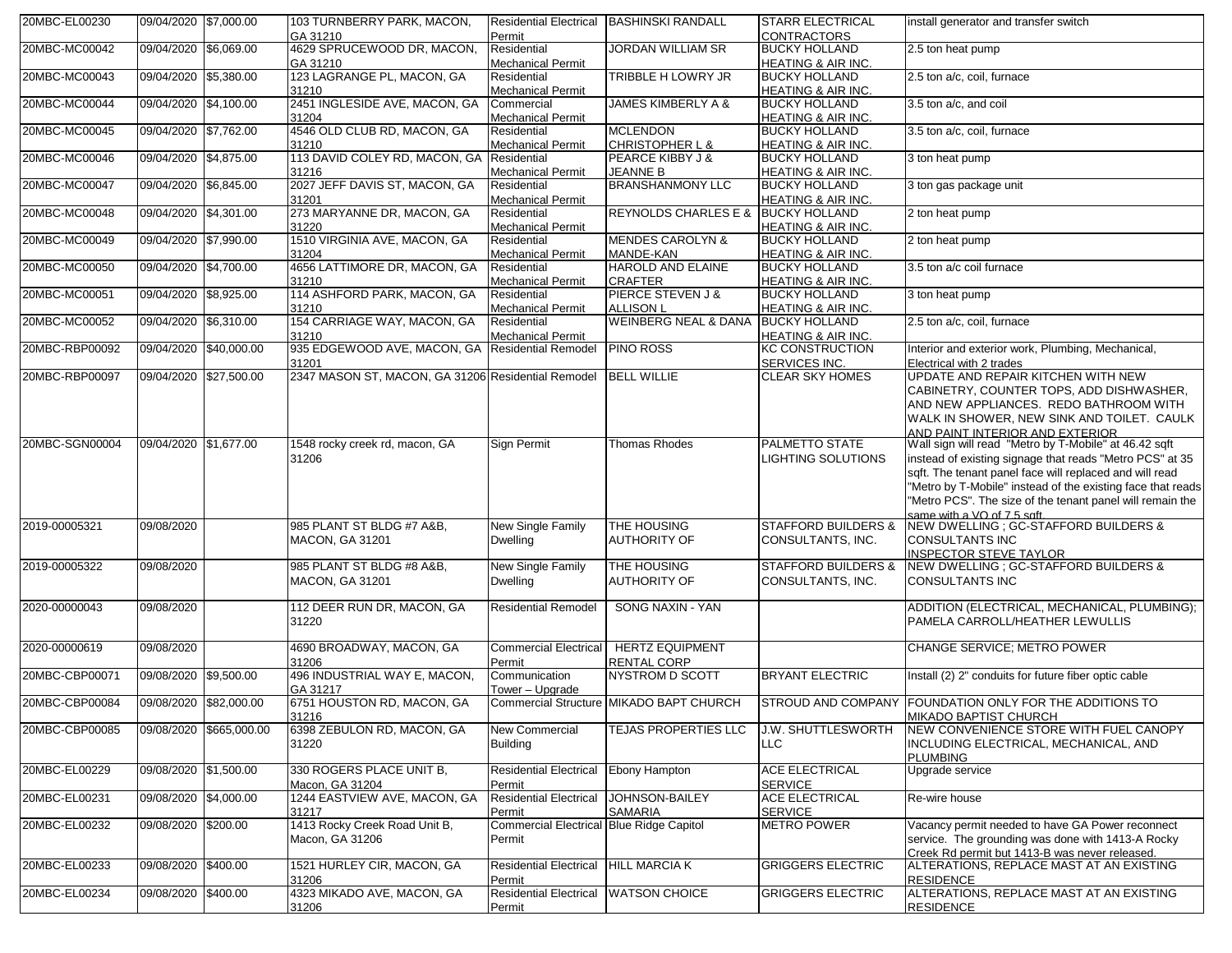| 20MBC-EL00230  | 09/04/2020 \$7,000.00 |                         | 103 TURNBERRY PARK, MACON,<br>GA 31210             | <b>Residential Electrical</b><br>Permit  | <b>BASHINSKI RANDALL</b>                      | <b>STARR ELECTRICAL</b><br><b>CONTRACTORS</b>         | install generator and transfer switch                                                    |
|----------------|-----------------------|-------------------------|----------------------------------------------------|------------------------------------------|-----------------------------------------------|-------------------------------------------------------|------------------------------------------------------------------------------------------|
| 20MBC-MC00042  | 09/04/2020 \$6,069.00 |                         | 4629 SPRUCEWOOD DR, MACON,                         | Residential                              | <b>JORDAN WILLIAM SR</b>                      | <b>BUCKY HOLLAND</b>                                  | 2.5 ton heat pump                                                                        |
|                |                       |                         | GA 31210                                           | <b>Mechanical Permit</b>                 |                                               | <b>HEATING &amp; AIR INC.</b>                         |                                                                                          |
| 20MBC-MC00043  | 09/04/2020 \$5,380.00 |                         | 123 LAGRANGE PL, MACON, GA                         | Residential                              | <b>TRIBBLE H LOWRY JR</b>                     | <b>BUCKY HOLLAND</b>                                  | 2.5 ton a/c, coil, furnace                                                               |
|                |                       |                         | 31210                                              | <b>Mechanical Permit</b>                 |                                               | HEATING & AIR INC.                                    |                                                                                          |
| 20MBC-MC00044  | 09/04/2020 \$4,100.00 |                         | 2451 INGLESIDE AVE, MACON, GA                      | Commercial                               | <b>JAMES KIMBERLY A &amp;</b>                 | <b>BUCKY HOLLAND</b>                                  | 3.5 ton a/c, and coil                                                                    |
|                |                       |                         | 31204                                              | <b>Mechanical Permit</b>                 |                                               | HEATING & AIR INC.                                    |                                                                                          |
| 20MBC-MC00045  | 09/04/2020 \$7,762.00 |                         | 4546 OLD CLUB RD, MACON, GA<br>31210               | Residential<br><b>Mechanical Permit</b>  | <b>MCLENDON</b><br><b>CHRISTOPHER L &amp;</b> | <b>BUCKY HOLLAND</b>                                  | 3.5 ton a/c, coil, furnace                                                               |
| 20MBC-MC00046  | 09/04/2020 \$4,875.00 |                         | 113 DAVID COLEY RD, MACON, GA Residential          |                                          | PEARCE KIBBY J &                              | HEATING & AIR INC.<br><b>BUCKY HOLLAND</b>            | 3 ton heat pump                                                                          |
|                |                       |                         | 31216                                              | <b>Mechanical Permit</b>                 | <b>JEANNE B</b>                               | HEATING & AIR INC.                                    |                                                                                          |
| 20MBC-MC00047  | 09/04/2020 \$6,845.00 |                         | 2027 JEFF DAVIS ST, MACON, GA                      | Residential                              | <b>BRANSHANMONY LLC</b>                       | <b>BUCKY HOLLAND</b>                                  | 3 ton gas package unit                                                                   |
|                |                       |                         | 31201                                              | <b>Mechanical Permit</b>                 |                                               | HEATING & AIR INC.                                    |                                                                                          |
| 20MBC-MC00048  | 09/04/2020 \$4,301.00 |                         | 273 MARYANNE DR, MACON, GA                         | Residential                              | REYNOLDS CHARLES E &                          | <b>BUCKY HOLLAND</b>                                  | 2 ton heat pump                                                                          |
|                |                       |                         | 31220                                              | <b>Mechanical Permit</b>                 |                                               | HEATING & AIR INC.                                    |                                                                                          |
| 20MBC-MC00049  | 09/04/2020 \$7,990.00 |                         | 1510 VIRGINIA AVE, MACON, GA                       | Residential                              | <b>MENDES CAROLYN &amp;</b>                   | <b>BUCKY HOLLAND</b>                                  | 2 ton heat pump                                                                          |
|                |                       |                         | 31204                                              | <b>Mechanical Permit</b>                 | MANDE-KAN                                     | HEATING & AIR INC.                                    |                                                                                          |
| 20MBC-MC00050  | 09/04/2020 \$4,700.00 |                         | 4656 LATTIMORE DR, MACON, GA<br>31210              | Residential                              | <b>HAROLD AND ELAINE</b><br><b>CRAFTER</b>    | <b>BUCKY HOLLAND</b>                                  | 3.5 ton a/c coil furnace                                                                 |
| 20MBC-MC00051  | 09/04/2020 \$8,925.00 |                         | 114 ASHFORD PARK, MACON, GA                        | <b>Mechanical Permit</b><br>Residential  | <b>PIERCE STEVEN J &amp;</b>                  | <b>HEATING &amp; AIR INC.</b><br><b>BUCKY HOLLAND</b> | 3 ton heat pump                                                                          |
|                |                       |                         | 31210                                              | <b>Mechanical Permit</b>                 | <b>ALLISON L</b>                              | <b>HEATING &amp; AIR INC.</b>                         |                                                                                          |
| 20MBC-MC00052  | 09/04/2020 \$6,310.00 |                         | 154 CARRIAGE WAY, MACON, GA                        | Residential                              | <b>WEINBERG NEAL &amp; DANA</b>               | <b>BUCKY HOLLAND</b>                                  | 2.5 ton a/c, coil, furnace                                                               |
|                |                       |                         | 31210                                              | <b>Mechanical Permit</b>                 |                                               | HEATING & AIR INC.                                    |                                                                                          |
| 20MBC-RBP00092 |                       | 09/04/2020 \$40,000.00  | 935 EDGEWOOD AVE, MACON, GA Residential Remodel    |                                          | <b>PINO ROSS</b>                              | KC CONSTRUCTION                                       | Interior and exterior work, Plumbing, Mechanical,                                        |
|                |                       |                         | 31201                                              |                                          |                                               | SERVICES INC.                                         | Electrical with 2 trades                                                                 |
| 20MBC-RBP00097 |                       | 09/04/2020 \$27,500.00  | 2347 MASON ST, MACON, GA 31206 Residential Remodel |                                          | <b>BELL WILLIE</b>                            | CLEAR SKY HOMES                                       | UPDATE AND REPAIR KITCHEN WITH NEW                                                       |
|                |                       |                         |                                                    |                                          |                                               |                                                       | CABINETRY, COUNTER TOPS, ADD DISHWASHER,                                                 |
|                |                       |                         |                                                    |                                          |                                               |                                                       | AND NEW APPLIANCES. REDO BATHROOM WITH                                                   |
|                |                       |                         |                                                    |                                          |                                               |                                                       | WALK IN SHOWER, NEW SINK AND TOILET. CAULK                                               |
| 20MBC-SGN00004 | 09/04/2020 \$1,677.00 |                         | 1548 rocky creek rd, macon, GA                     | <b>Sign Permit</b>                       | <b>Thomas Rhodes</b>                          | PALMETTO STATE                                        | AND PAINT INTERIOR AND EXTERIOR<br>Wall sign will read "Metro by T-Mobile" at 46.42 sqft |
|                |                       |                         | 31206                                              |                                          |                                               | LIGHTING SOLUTIONS                                    | instead of existing signage that reads "Metro PCS" at 35                                 |
|                |                       |                         |                                                    |                                          |                                               |                                                       | sqft. The tenant panel face will replaced and will read                                  |
|                |                       |                         |                                                    |                                          |                                               |                                                       | "Metro by T-Mobile" instead of the existing face that reads                              |
|                |                       |                         |                                                    |                                          |                                               |                                                       | "Metro PCS". The size of the tenant panel will remain the                                |
|                |                       |                         |                                                    |                                          |                                               |                                                       | same with a VO of 7.5 soft                                                               |
| 2019-00005321  | 09/08/2020            |                         | 985 PLANT ST BLDG #7 A&B,                          | New Single Family                        | <b>THE HOUSING</b>                            | <b>STAFFORD BUILDERS &amp;</b>                        | NEW DWELLING; GC-STAFFORD BUILDERS &                                                     |
|                |                       |                         | <b>MACON, GA 31201</b>                             | <b>Dwelling</b>                          | <b>AUTHORITY OF</b>                           | CONSULTANTS, INC.                                     | CONSULTANTS INC                                                                          |
|                |                       |                         |                                                    |                                          |                                               |                                                       | <b>INSPECTOR STEVE TAYLOR</b>                                                            |
| 2019-00005322  | 09/08/2020            |                         | 985 PLANT ST BLDG #8 A&B,                          | New Single Family                        | THE HOUSING                                   | <b>STAFFORD BUILDERS &amp;</b>                        | NEW DWELLING ; GC-STAFFORD BUILDERS &                                                    |
|                |                       |                         | <b>MACON, GA 31201</b>                             | <b>Dwelling</b>                          | <b>AUTHORITY OF</b>                           | CONSULTANTS, INC.                                     | CONSULTANTS INC                                                                          |
| 2020-00000043  | 09/08/2020            |                         | 112 DEER RUN DR, MACON, GA                         | <b>Residential Remodel</b>               | SONG NAXIN - YAN                              |                                                       | ADDITION (ELECTRICAL, MECHANICAL, PLUMBING);                                             |
|                |                       |                         | 31220                                              |                                          |                                               |                                                       | PAMELA CARROLL/HEATHER LEWULLIS                                                          |
|                |                       |                         |                                                    |                                          |                                               |                                                       |                                                                                          |
| 2020-00000619  | 09/08/2020            |                         | 4690 BROADWAY, MACON, GA                           | <b>Commercial Electrical</b>             | <b>HERTZ EQUIPMENT</b>                        |                                                       | CHANGE SERVICE; METRO POWER                                                              |
|                |                       |                         | 31206                                              | Permit                                   | <b>RENTAL CORP</b>                            |                                                       |                                                                                          |
| 20MBC-CBP00071 | 09/08/2020 \$9,500.00 |                         | 496 INDUSTRIAL WAY E, MACON,                       | Communication                            | <b>NYSTROM D SCOTT</b>                        | <b>BRYANT ELECTRIC</b>                                | Install (2) 2" conduits for future fiber optic cable                                     |
|                |                       |                         | GA 31217                                           | Tower - Upgrade                          |                                               |                                                       |                                                                                          |
| 20MBC-CBP00084 |                       | 09/08/2020 \$82,000.00  | 6751 HOUSTON RD, MACON, GA                         |                                          | Commercial Structure MIKADO BAPT CHURCH       |                                                       | STROUD AND COMPANY FOUNDATION ONLY FOR THE ADDITIONS TO                                  |
|                |                       |                         | 31216                                              |                                          |                                               |                                                       | MIKADO BAPTIST CHURCH                                                                    |
| 20MBC-CBP00085 |                       | 09/08/2020 \$665,000.00 | 6398 ZEBULON RD, MACON, GA                         | <b>New Commercial</b>                    | TEJAS PROPERTIES LLC                          | <b>J.W. SHUTTLESWORTH</b>                             | NEW CONVENIENCE STORE WITH FUEL CANOPY                                                   |
|                |                       |                         | 31220                                              | <b>Building</b>                          |                                               | <b>LLC</b>                                            | INCLUDING ELECTRICAL, MECHANICAL, AND                                                    |
| 20MBC-EL00229  | 09/08/2020 \$1,500.00 |                         | 330 ROGERS PLACE UNIT B.                           | <b>Residential Electrical</b>            | <b>Ebony Hampton</b>                          | ACE ELECTRICAL                                        | <b>PLUMBING</b><br>Upgrade service                                                       |
|                |                       |                         | Macon. GA 31204                                    | Permit                                   |                                               | <b>SERVICE</b>                                        |                                                                                          |
| 20MBC-EL00231  | 09/08/2020 \$4,000.00 |                         | 1244 EASTVIEW AVE, MACON, GA                       | <b>Residential Electrical</b>            | <b>JOHNSON-BAILEY</b>                         | <b>ACE ELECTRICAL</b>                                 | Re-wire house                                                                            |
|                |                       |                         | 31217                                              | Permit                                   | <b>SAMARIA</b>                                | <b>SERVICE</b>                                        |                                                                                          |
| 20MBC-EL00232  | 09/08/2020 \$200.00   |                         | 1413 Rocky Creek Road Unit B,                      | Commercial Electrical Blue Ridge Capitol |                                               | <b>METRO POWER</b>                                    | Vacancy permit needed to have GA Power reconnect                                         |
|                |                       |                         | Macon, GA 31206                                    | Permit                                   |                                               |                                                       | service. The grounding was done with 1413-A Rocky                                        |
|                |                       |                         |                                                    |                                          |                                               |                                                       | Creek Rd permit but 1413-B was never released.                                           |
| 20MBC-EL00233  | 09/08/2020 \$400.00   |                         | 1521 HURLEY CIR, MACON, GA                         | <b>Residential Electrical</b>            | <b>HILL MARCIA K</b>                          | <b>GRIGGERS ELECTRIC</b>                              | ALTERATIONS, REPLACE MAST AT AN EXISTING                                                 |
|                |                       |                         | 31206                                              | Permit                                   |                                               |                                                       | <b>RESIDENCE</b>                                                                         |
| 20MBC-EL00234  | 09/08/2020 \$400.00   |                         | 4323 MIKADO AVE, MACON, GA                         | <b>Residential Electrical</b>            | <b>WATSON CHOICE</b>                          | <b>GRIGGERS ELECTRIC</b>                              | ALTERATIONS, REPLACE MAST AT AN EXISTING                                                 |
|                |                       |                         | 31206                                              | Permit                                   |                                               |                                                       | <b>RESIDENCE</b>                                                                         |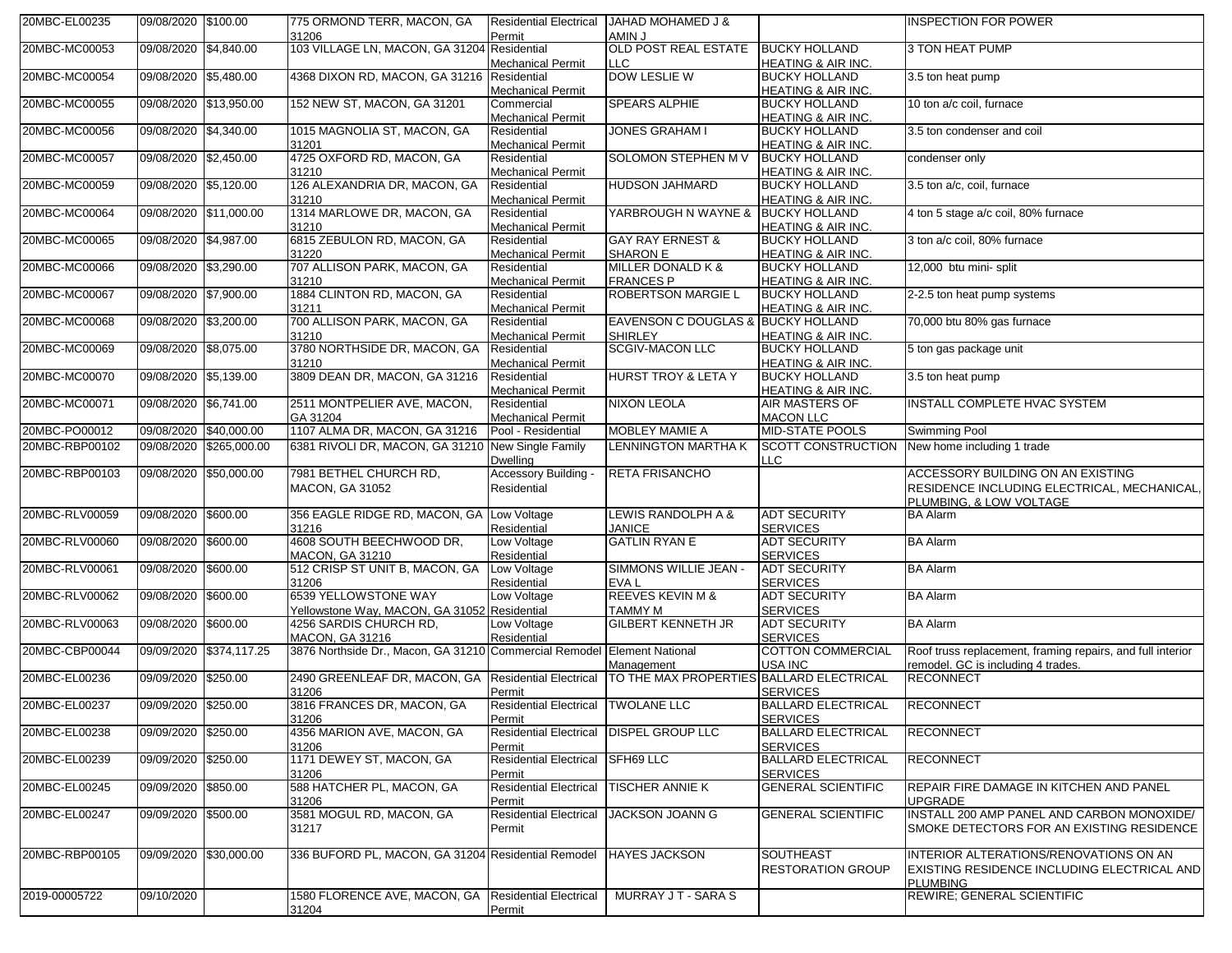| 20MBC-EL00235  | 09/08/2020 \$100.00    |                         | 775 ORMOND TERR, MACON, GA<br>31206                                     | <b>Residential Electrical</b>           | JAHAD MOHAMED J &                             |                                                       | <b>INSPECTION FOR POWER</b>                                                                                 |
|----------------|------------------------|-------------------------|-------------------------------------------------------------------------|-----------------------------------------|-----------------------------------------------|-------------------------------------------------------|-------------------------------------------------------------------------------------------------------------|
| 20MBC-MC00053  | 09/08/2020 \$4,840.00  |                         | 103 VILLAGE LN, MACON, GA 31204 Residential                             | Permit                                  | L MIMA<br><b>OLD POST REAL ESTATE</b>         | <b>BUCKY HOLLAND</b>                                  | <b>3 TON HEAT PUMP</b>                                                                                      |
|                |                        |                         |                                                                         | <b>Mechanical Permit</b>                | LLC.                                          | HEATING & AIR INC.                                    |                                                                                                             |
| 20MBC-MC00054  | 09/08/2020 \$5,480.00  |                         | 4368 DIXON RD, MACON, GA 31216                                          | Residential                             | DOW LESLIE W                                  | <b>BUCKY HOLLAND</b>                                  | 3.5 ton heat pump                                                                                           |
| 20MBC-MC00055  |                        | 09/08/2020 \$13,950.00  | 152 NEW ST, MACON, GA 31201                                             | <b>Mechanical Permit</b><br>Commercial  | <b>SPEARS ALPHIE</b>                          | HEATING & AIR INC.<br><b>BUCKY HOLLAND</b>            | 10 ton a/c coil, furnace                                                                                    |
|                |                        |                         |                                                                         | <b>Mechanical Permit</b>                |                                               | HEATING & AIR INC.                                    |                                                                                                             |
| 20MBC-MC00056  | 09/08/2020 \$4,340.00  |                         | 1015 MAGNOLIA ST, MACON, GA                                             | Residential                             | <b>JONES GRAHAM I</b>                         | <b>BUCKY HOLLAND</b>                                  | 3.5 ton condenser and coil                                                                                  |
|                |                        |                         | 31201                                                                   | <b>Mechanical Permit</b>                |                                               | HEATING & AIR INC.                                    |                                                                                                             |
| 20MBC-MC00057  | 09/08/2020 \$2,450.00  |                         | 4725 OXFORD RD, MACON, GA<br>31210                                      | Residential<br><b>Mechanical Permit</b> | SOLOMON STEPHEN M V                           | <b>BUCKY HOLLAND</b><br><b>HEATING &amp; AIR INC.</b> | condenser only                                                                                              |
| 20MBC-MC00059  | 09/08/2020 \$5,120.00  |                         | 126 ALEXANDRIA DR, MACON, GA                                            | Residential                             | <b>HUDSON JAHMARD</b>                         | <b>BUCKY HOLLAND</b>                                  | 3.5 ton a/c, coil, furnace                                                                                  |
|                |                        |                         | 31210                                                                   | <b>Mechanical Permit</b>                |                                               | HEATING & AIR INC.                                    |                                                                                                             |
| 20MBC-MC00064  |                        | 09/08/2020 \$11,000.00  | 1314 MARLOWE DR, MACON, GA<br>31210                                     | Residential<br><b>Mechanical Permit</b> | YARBROUGH N WAYNE &                           | <b>BUCKY HOLLAND</b><br><b>HEATING &amp; AIR INC.</b> | 4 ton 5 stage a/c coil, 80% furnace                                                                         |
| 20MBC-MC00065  | 09/08/2020 \$4,987.00  |                         | 6815 ZEBULON RD, MACON, GA                                              | Residential                             | <b>GAY RAY ERNEST &amp;</b>                   | <b>BUCKY HOLLAND</b>                                  | 3 ton a/c coil, 80% furnace                                                                                 |
|                |                        |                         | 31220                                                                   | Mechanical Permit                       | SHARON E                                      | HEATING & AIR INC.                                    |                                                                                                             |
| 20MBC-MC00066  | 09/08/2020 \$3,290.00  |                         | 707 ALLISON PARK, MACON, GA                                             | Residential                             | MILLER DONALD K &                             | <b>BUCKY HOLLAND</b>                                  | 12,000 btu mini- split                                                                                      |
| 20MBC-MC00067  | 09/08/2020 \$7,900.00  |                         | 31210<br>1884 CLINTON RD, MACON, GA                                     | <b>Mechanical Permit</b><br>Residential | <b>FRANCES P</b><br><b>ROBERTSON MARGIE L</b> | <b>HEATING &amp; AIR INC.</b><br><b>BUCKY HOLLAND</b> | 2-2.5 ton heat pump systems                                                                                 |
|                |                        |                         | 31211                                                                   | <b>Mechanical Permit</b>                |                                               | HEATING & AIR INC.                                    |                                                                                                             |
| 20MBC-MC00068  | 09/08/2020             | \$3,200.00              | 700 ALLISON PARK, MACON, GA                                             | Residential                             | EAVENSON C DOUGLAS & BUCKY HOLLAND            |                                                       | 70,000 btu 80% gas furnace                                                                                  |
| 20MBC-MC00069  |                        |                         | 31210<br>3780 NORTHSIDE DR, MACON, GA                                   | <b>Mechanical Permit</b>                | <b>SHIRLEY</b><br><b>SCGIV-MACON LLC</b>      | <b>HEATING &amp; AIR INC.</b>                         |                                                                                                             |
|                | 09/08/2020 \$8,075.00  |                         | 31210                                                                   | Residential<br><b>Mechanical Permit</b> |                                               | <b>BUCKY HOLLAND</b><br>HEATING & AIR INC.            | 5 ton gas package unit                                                                                      |
| 20MBC-MC00070  | 09/08/2020 \$5,139.00  |                         | 3809 DEAN DR, MACON, GA 31216                                           | Residential                             | <b>HURST TROY &amp; LETA Y</b>                | <b>BUCKY HOLLAND</b>                                  | 3.5 ton heat pump                                                                                           |
|                |                        |                         |                                                                         | <b>Mechanical Permit</b>                |                                               | HEATING & AIR INC.                                    |                                                                                                             |
| 20MBC-MC00071  | 09/08/2020 \$6,741.00  |                         | 2511 MONTPELIER AVE, MACON,<br>GA 31204                                 | Residential<br><b>Mechanical Permit</b> | <b>NIXON LEOLA</b>                            | <b>AIR MASTERS OF</b><br><b>MACON LLC</b>             | <b>INSTALL COMPLETE HVAC SYSTEM</b>                                                                         |
| 20MBC-PO00012  | 09/08/2020             | \$40,000.00             | 1107 ALMA DR, MACON, GA 31216                                           | Pool - Residential                      | <b>MOBLEY MAMIE A</b>                         | <b>MID-STATE POOLS</b>                                | Swimming Pool                                                                                               |
| 20MBC-RBP00102 |                        | 09/08/2020 \$265,000.00 | 6381 RIVOLI DR, MACON, GA 31210 New Single Family                       |                                         | <b>LENNINGTON MARTHA K</b>                    | <b>SCOTT CONSTRUCTION</b>                             | New home including 1 trade                                                                                  |
|                |                        |                         |                                                                         | <b>Dwelling</b>                         |                                               | LLC                                                   |                                                                                                             |
| 20MBC-RBP00103 |                        | 09/08/2020 \$50,000.00  | 7981 BETHEL CHURCH RD,<br><b>MACON, GA 31052</b>                        | Accessory Building .<br>Residential     | <b>RETA FRISANCHO</b>                         |                                                       | ACCESSORY BUILDING ON AN EXISTING<br>RESIDENCE INCLUDING ELECTRICAL, MECHANICAL,<br>PLUMBING, & LOW VOLTAGE |
| 20MBC-RLV00059 | 09/08/2020 \$600.00    |                         | 356 EAGLE RIDGE RD, MACON, GA Low Voltage                               |                                         | LEWIS RANDOLPH A &                            | <b>ADT SECURITY</b>                                   | <b>BA Alarm</b>                                                                                             |
|                |                        |                         | 31216                                                                   | Residential                             | <b>JANICE</b>                                 | <b>SERVICES</b>                                       |                                                                                                             |
| 20MBC-RLV00060 | 09/08/2020             | \$600.00                | 4608 SOUTH BEECHWOOD DR,<br><b>MACON, GA 31210</b>                      | Low Voltage<br>Residential              | <b>GATLIN RYAN E</b>                          | <b>ADT SECURITY</b><br><b>SERVICES</b>                | <b>BA Alarm</b>                                                                                             |
| 20MBC-RLV00061 | 09/08/2020 \$600.00    |                         | 512 CRISP ST UNIT B, MACON, GA                                          | Low Voltage                             | SIMMONS WILLIE JEAN -                         | <b>ADT SECURITY</b>                                   | <b>BA Alarm</b>                                                                                             |
|                |                        |                         | 31206                                                                   | Residential                             | EVA L                                         | <b>SERVICES</b>                                       |                                                                                                             |
| 20MBC-RLV00062 | 09/08/2020 \$600.00    |                         | 6539 YELLOWSTONE WAY                                                    | Low Voltage                             | <b>REEVES KEVIN M &amp;</b><br><b>TAMMY M</b> | <b>ADT SECURITY</b><br><b>SERVICES</b>                | <b>BA Alarm</b>                                                                                             |
| 20MBC-RLV00063 | 09/08/2020 \$600.00    |                         | Yellowstone Way, MACON, GA 31052 Residential<br>4256 SARDIS CHURCH RD,  | Low Voltage                             | <b>GILBERT KENNETH JR</b>                     | <b>ADT SECURITY</b>                                   | <b>BA Alarm</b>                                                                                             |
|                |                        |                         | <b>MACON, GA 31216</b>                                                  | Residential                             |                                               | <b>SERVICES</b>                                       |                                                                                                             |
| 20MBC-CBP00044 |                        | 09/09/2020 \$374,117.25 | 3876 Northside Dr., Macon, GA 31210 Commercial Remodel Element National |                                         |                                               | <b>COTTON COMMERCIAL</b>                              | Roof truss replacement, framing repairs, and full interior                                                  |
| 20MBC-EL00236  | 09/09/2020             | \$250.00                | 2490 GREENLEAF DR, MACON, GA Residential Electrical                     |                                         | Management<br>TO THE MAX PROPERTIES           | USA INC<br><b>BALLARD ELECTRICAL</b>                  | remodel. GC is including 4 trades.<br><b>RECONNECT</b>                                                      |
|                |                        |                         | 31206                                                                   | Permit                                  |                                               | <b>SERVICES</b>                                       |                                                                                                             |
| 20MBC-EL00237  | 09/09/2020 \$250.00    |                         | 3816 FRANCES DR, MACON, GA                                              | Residential Electrical TWOLANE LLC      |                                               | <b>BALLARD ELECTRICAL</b>                             | <b>RECONNECT</b>                                                                                            |
| 20MBC-EL00238  | 09/09/2020 \$250.00    |                         | 31206<br>4356 MARION AVE, MACON, GA                                     | Permit<br><b>Residential Electrical</b> | <b>DISPEL GROUP LLC</b>                       | <b>SERVICES</b><br><b>BALLARD ELECTRICAL</b>          | <b>RECONNECT</b>                                                                                            |
|                |                        |                         | 31206                                                                   | Permit                                  |                                               | <b>SERVICES</b>                                       |                                                                                                             |
| 20MBC-EL00239  | 09/09/2020             | \$250.00                | 1171 DEWEY ST, MACON, GA                                                | <b>Residential Electrical</b>           | SFH69 LLC                                     | <b>BALLARD ELECTRICAL</b>                             | <b>RECONNECT</b>                                                                                            |
| 20MBC-EL00245  | 09/09/2020 \$850.00    |                         | 31206<br>588 HATCHER PL, MACON, GA                                      | Permit<br><b>Residential Electrical</b> | <b>TISCHER ANNIE K</b>                        | <b>SERVICES</b><br><b>GENERAL SCIENTIFIC</b>          | REPAIR FIRE DAMAGE IN KITCHEN AND PANEL                                                                     |
|                |                        |                         | 31206                                                                   | Permit                                  |                                               |                                                       | UPGRADE                                                                                                     |
| 20MBC-EL00247  | 09/09/2020 \$500.00    |                         | 3581 MOGUL RD, MACON, GA<br>31217                                       | <b>Residential Electrical</b><br>Permit | JACKSON JOANN G                               | <b>GENERAL SCIENTIFIC</b>                             | INSTALL 200 AMP PANEL AND CARBON MONOXIDE/<br>SMOKE DETECTORS FOR AN EXISTING RESIDENCE                     |
|                |                        |                         |                                                                         |                                         |                                               |                                                       |                                                                                                             |
| 20MBC-RBP00105 | 09/09/2020 \$30,000.00 |                         | 336 BUFORD PL, MACON, GA 31204 Residential Remodel                      |                                         | <b>HAYES JACKSON</b>                          | <b>SOUTHEAST</b><br><b>RESTORATION GROUP</b>          | INTERIOR ALTERATIONS/RENOVATIONS ON AN                                                                      |
| 2019-00005722  | 09/10/2020             |                         | 1580 FLORENCE AVE, MACON, GA Residential Electrical                     |                                         | MURRAY JT - SARA S                            |                                                       | <b>EXISTING RESIDENCE INCLUDING ELECTRICAL AND</b><br><b>PLUMBING</b><br><b>REWIRE; GENERAL SCIENTIFIC</b>  |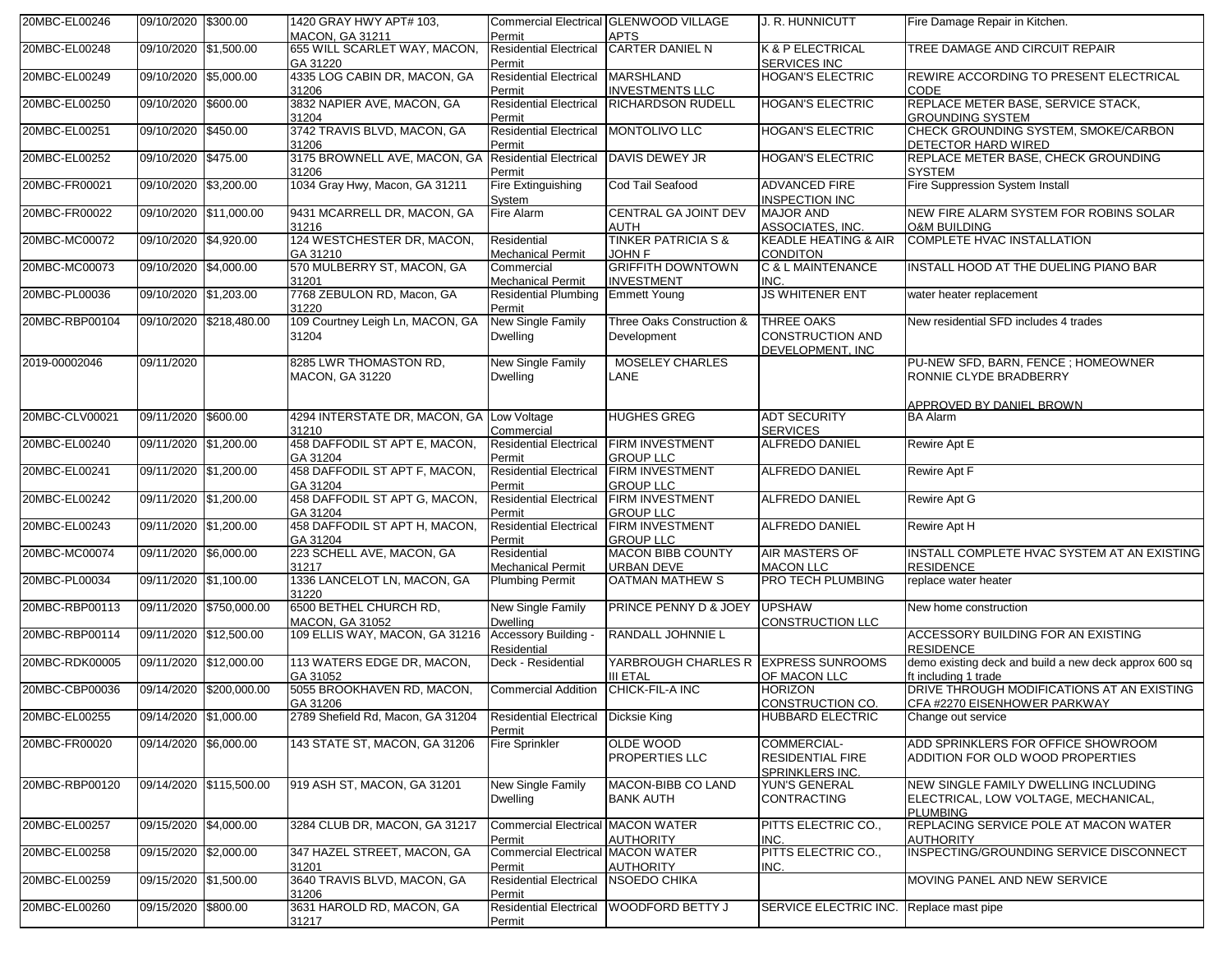| 20MBC-EL00246  | 09/10/2020 \$300.00    |                         | 1420 GRAY HWY APT# 103.<br><b>MACON, GA 31211</b>     | Permit                                               | Commercial Electrical GLENWOOD VILLAGE<br><b>APTS</b>          | J. R. HUNNICUTT                                                         | Fire Damage Repair in Kitchen.                                                                  |
|----------------|------------------------|-------------------------|-------------------------------------------------------|------------------------------------------------------|----------------------------------------------------------------|-------------------------------------------------------------------------|-------------------------------------------------------------------------------------------------|
| 20MBC-EL00248  | 09/10/2020 \$1,500.00  |                         | 655 WILL SCARLET WAY, MACON,<br>GA 31220              | <b>Residential Electrical</b><br>Permit              | <b>CARTER DANIEL N</b>                                         | <b>K &amp; P ELECTRICAL</b><br><b>SERVICES INC</b>                      | TREE DAMAGE AND CIRCUIT REPAIR                                                                  |
| 20MBC-EL00249  | 09/10/2020 \$5.000.00  |                         | 4335 LOG CABIN DR, MACON, GA<br>31206                 | <b>Residential Electrical</b><br>Permit              | <b>MARSHLAND</b><br><b>INVESTMENTS LLC</b>                     | <b>HOGAN'S ELECTRIC</b>                                                 | <b>REWIRE ACCORDING TO PRESENT ELECTRICAL</b><br><b>CODE</b>                                    |
| 20MBC-EL00250  | 09/10/2020 \$600.00    |                         | 3832 NAPIER AVE, MACON, GA<br>31204                   | <b>Residential Electrical</b><br>Permit              | <b>RICHARDSON RUDELL</b>                                       | <b>HOGAN'S ELECTRIC</b>                                                 | REPLACE METER BASE, SERVICE STACK,<br><b>GROUNDING SYSTEM</b>                                   |
| 20MBC-EL00251  | 09/10/2020             | \$450.00                | 3742 TRAVIS BLVD, MACON, GA<br>31206                  | <b>Residential Electrical</b><br>Permit              | MONTOLIVO LLC                                                  | <b>HOGAN'S ELECTRIC</b>                                                 | CHECK GROUNDING SYSTEM, SMOKE/CARBON<br>DETECTOR HARD WIRED                                     |
| 20MBC-EL00252  | 09/10/2020 \$475.00    |                         | 3175 BROWNELL AVE, MACON, GA<br>31206                 | <b>Residential Electrical</b><br>Permit              | DAVIS DEWEY JR                                                 | <b>HOGAN'S ELECTRIC</b>                                                 | REPLACE METER BASE, CHECK GROUNDING<br><b>SYSTEM</b>                                            |
| 20MBC-FR00021  | 09/10/2020 \$3,200.00  |                         | 1034 Gray Hwy, Macon, GA 31211                        | Fire Extinguishing<br>System                         | Cod Tail Seafood                                               | <b>ADVANCED FIRE</b><br><b>INSPECTION INC</b>                           | Fire Suppression System Install                                                                 |
| 20MBC-FR00022  | 09/10/2020 \$11,000.00 |                         | 9431 MCARRELL DR, MACON, GA<br>31216                  | Fire Alarm                                           | CENTRAL GA JOINT DEV<br><b>AUTH</b>                            | <b>MAJOR AND</b><br>ASSOCIATES, INC.                                    | NEW FIRE ALARM SYSTEM FOR ROBINS SOLAR<br><b>O&amp;M BUILDING</b>                               |
| 20MBC-MC00072  | 09/10/2020 \$4,920.00  |                         | 124 WESTCHESTER DR, MACON,<br>GA 31210                | Residential<br><b>Mechanical Permit</b>              | <b>TINKER PATRICIA S &amp;</b><br><b>JOHN F</b>                | <b>KEADLE HEATING &amp; AIR</b><br><b>CONDITON</b>                      | <b>COMPLETE HVAC INSTALLATION</b>                                                               |
| 20MBC-MC00073  | 09/10/2020 \$4,000.00  |                         | 570 MULBERRY ST, MACON, GA<br>31201                   | Commercial<br><b>Mechanical Permit</b>               | <b>GRIFFITH DOWNTOWN</b><br><b>INVESTMENT</b>                  | C & L MAINTENANCE<br>INC.                                               | INSTALL HOOD AT THE DUELING PIANO BAR                                                           |
| 20MBC-PL00036  | 09/10/2020 \$1,203.00  |                         | 7768 ZEBULON RD, Macon, GA<br>31220                   | Residential Plumbing Emmett Young<br>Permit          |                                                                | <b>JS WHITENER ENT</b>                                                  | water heater replacement                                                                        |
| 20MBC-RBP00104 |                        | 09/10/2020 \$218,480.00 | 109 Courtney Leigh Ln, MACON, GA<br>31204             | New Single Family<br><b>Dwelling</b>                 | Three Oaks Construction &<br>Development                       | <b>THREE OAKS</b><br><b>CONSTRUCTION AND</b><br>DEVELOPMENT, INC        | New residential SFD includes 4 trades                                                           |
| 2019-00002046  | 09/11/2020             |                         | 8285 LWR THOMASTON RD.<br>MACON, GA 31220             | New Single Family<br>Dwelling                        | <b>MOSELEY CHARLES</b><br>LANE                                 |                                                                         | PU-NEW SFD, BARN, FENCE; HOMEOWNER<br>RONNIE CLYDE BRADBERRY                                    |
| 20MBC-CLV00021 | 09/11/2020 \$600.00    |                         | 4294 INTERSTATE DR, MACON, GA Low Voltage             |                                                      | <b>HUGHES GREG</b>                                             | <b>ADT SECURITY</b>                                                     | APPROVED BY DANIEL BROWN<br><b>BA Alarm</b>                                                     |
| 20MBC-EL00240  | 09/11/2020 \$1,200.00  |                         | 31210<br>458 DAFFODIL ST APT E, MACON,                | Commercial<br><b>Residential Electrical</b>          | <b>FIRM INVESTMENT</b>                                         | <b>SERVICES</b><br><b>ALFREDO DANIEL</b>                                | Rewire Apt E                                                                                    |
| 20MBC-EL00241  | 09/11/2020 \$1,200.00  |                         | GA 31204<br>458 DAFFODIL ST APT F, MACON,             | Permit<br><b>Residential Electrical</b>              | <b>GROUP LLC</b><br><b>FIRM INVESTMENT</b>                     | <b>ALFREDO DANIEL</b>                                                   | Rewire Apt F                                                                                    |
| 20MBC-EL00242  | 09/11/2020 \$1,200.00  |                         | GA 31204<br>458 DAFFODIL ST APT G, MACON,             | Permit<br><b>Residential Electrical</b>              | <b>GROUP LLC</b><br><b>FIRM INVESTMENT</b>                     | <b>ALFREDO DANIEL</b>                                                   | Rewire Apt G                                                                                    |
| 20MBC-EL00243  | 09/11/2020 \$1,200.00  |                         | GA 31204<br>458 DAFFODIL ST APT H, MACON,<br>GA 31204 | Permit<br><b>Residential Electrical</b><br>Permit    | <b>GROUP LLC</b><br><b>FIRM INVESTMENT</b><br><b>GROUP LLC</b> | <b>ALFREDO DANIEL</b>                                                   | Rewire Apt H                                                                                    |
| 20MBC-MC00074  | 09/11/2020 \$6,000.00  |                         | 223 SCHELL AVE, MACON, GA<br>31217                    | Residential<br><b>Mechanical Permit</b>              | <b>MACON BIBB COUNTY</b><br><b>URBAN DEVE</b>                  | <b>AIR MASTERS OF</b><br><b>MACON LLC</b>                               | INSTALL COMPLETE HVAC SYSTEM AT AN EXISTING<br><b>RESIDENCE</b>                                 |
| 20MBC-PL00034  | 09/11/2020 \$1,100.00  |                         | 1336 LANCELOT LN, MACON, GA<br>31220                  | <b>Plumbing Permit</b>                               | <b>OATMAN MATHEW S</b>                                         | PRO TECH PLUMBING                                                       | replace water heater                                                                            |
| 20MBC-RBP00113 |                        | 09/11/2020 \$750,000.00 | 6500 BETHEL CHURCH RD,<br>MACON, GA 31052             | New Single Family<br>Dwelling                        | PRINCE PENNY D & JOEY                                          | <b>UPSHAW</b><br>CONSTRUCTION LLC                                       | New home construction                                                                           |
| 20MBC-RBP00114 | 09/11/2020 \$12,500.00 |                         | 109 ELLIS WAY, MACON, GA 31216                        | Accessory Building -<br>Residential                  | <b>RANDALL JOHNNIE L</b>                                       |                                                                         | ACCESSORY BUILDING FOR AN EXISTING<br><b>RESIDENCE</b>                                          |
| 20MBC-RDK00005 | 09/11/2020 \$12,000.00 |                         | 113 WATERS EDGE DR, MACON,<br>GA 31052                | Deck - Residential                                   | YARBROUGH CHARLES R EXPRESS SUNROOMS<br><b>III ETAL</b>        | OF MACON LLC                                                            | demo existing deck and build a new deck approx 600 sq<br>ft including 1 trade                   |
| 20MBC-CBP00036 | 09/14/2020             | \$200,000.00            | 5055 BROOKHAVEN RD, MACON,<br>GA 31206                | <b>Commercial Addition</b>                           | CHICK-FIL-A INC                                                | <b>HORIZON</b><br>CONSTRUCTION CO.                                      | DRIVE THROUGH MODIFICATIONS AT AN EXISTING<br>CFA #2270 EISENHOWER PARKWAY                      |
| 20MBC-EL00255  | 09/14/2020 \$1,000.00  |                         | 2789 Shefield Rd, Macon, GA 31204                     | <b>Residential Electrical Dicksie King</b><br>Permit |                                                                | <b>HUBBARD ELECTRIC</b>                                                 | Change out service                                                                              |
| 20MBC-FR00020  | 09/14/2020 \$6,000.00  |                         | 143 STATE ST, MACON, GA 31206                         | <b>Fire Sprinkler</b>                                | OLDE WOOD<br>PROPERTIES LLC                                    | <b>COMMERCIAL-</b><br><b>RESIDENTIAL FIRE</b><br><u>SPRINKLERS INC.</u> | ADD SPRINKLERS FOR OFFICE SHOWROOM<br>ADDITION FOR OLD WOOD PROPERTIES                          |
| 20MBC-RBP00120 |                        | 09/14/2020 \$115,500.00 | 919 ASH ST, MACON, GA 31201                           | New Single Family<br>Dwelling                        | MACON-BIBB CO LAND<br><b>BANK AUTH</b>                         | <b>YUN'S GENERAL</b><br><b>CONTRACTING</b>                              | NEW SINGLE FAMILY DWELLING INCLUDING<br>ELECTRICAL, LOW VOLTAGE, MECHANICAL,<br><b>PLUMBING</b> |
| 20MBC-EL00257  | 09/15/2020 \$4,000.00  |                         | 3284 CLUB DR, MACON, GA 31217                         | <b>Commercial Electrical MACON WATER</b><br>Permit   | <b>AUTHORITY</b>                                               | PITTS ELECTRIC CO.,<br>INC.                                             | REPLACING SERVICE POLE AT MACON WATER<br><b>AUTHORITY</b>                                       |
| 20MBC-EL00258  | 09/15/2020 \$2,000.00  |                         | 347 HAZEL STREET, MACON, GA<br>31201                  | <b>Commercial Electrical MACON WATER</b><br>Permit   | <b>AUTHORITY</b>                                               | PITTS ELECTRIC CO.,<br>INC.                                             | INSPECTING/GROUNDING SERVICE DISCONNECT                                                         |
| 20MBC-EL00259  | 09/15/2020 \$1,500.00  |                         | 3640 TRAVIS BLVD, MACON, GA<br>31206                  | <b>Residential Electrical</b><br>Permit              | <b>NSOEDO CHIKA</b>                                            |                                                                         | MOVING PANEL AND NEW SERVICE                                                                    |
| 20MBC-EL00260  | 09/15/2020 \$800.00    |                         | 3631 HAROLD RD, MACON, GA<br>31217                    | <b>Residential Electrical</b><br>Permit              | WOODFORD BETTY J                                               | SERVICE ELECTRIC INC.                                                   | Replace mast pipe                                                                               |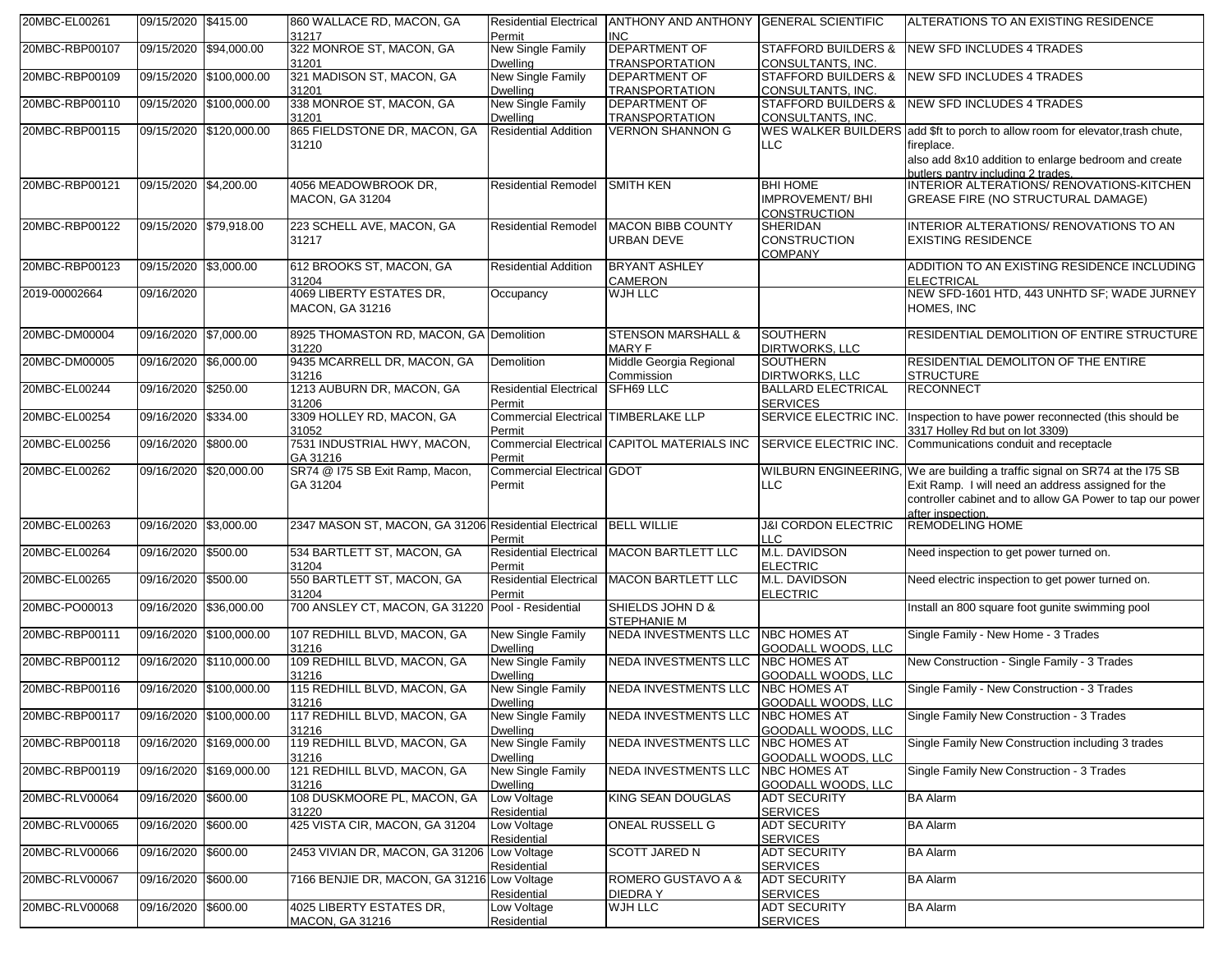| 20MBC-EL00261  | 09/15/2020 \$415.00    |                         | 860 WALLACE RD, MACON, GA<br>31217                                | <b>Residential Electrical</b><br>Permit               | ANTHONY AND ANTHONY GENERAL SCIENTIFIC<br><b>INC</b> |                                                                  | ALTERATIONS TO AN EXISTING RESIDENCE                                                                                                                                                                                |
|----------------|------------------------|-------------------------|-------------------------------------------------------------------|-------------------------------------------------------|------------------------------------------------------|------------------------------------------------------------------|---------------------------------------------------------------------------------------------------------------------------------------------------------------------------------------------------------------------|
| 20MBC-RBP00107 | 09/15/2020 \$94,000.00 |                         | 322 MONROE ST, MACON, GA<br>31201                                 | New Single Family<br><b>Dwelling</b>                  | <b>DEPARTMENT OF</b><br><b>TRANSPORTATION</b>        | <b>STAFFORD BUILDERS &amp;</b><br><b>CONSULTANTS, INC.</b>       | NEW SFD INCLUDES 4 TRADES                                                                                                                                                                                           |
| 20MBC-RBP00109 |                        | 09/15/2020 \$100,000.00 | 321 MADISON ST, MACON, GA<br>31201                                | New Single Family<br><b>Dwelling</b>                  | <b>DEPARTMENT OF</b><br><b>TRANSPORTATION</b>        | <b>STAFFORD BUILDERS &amp;</b><br>CONSULTANTS, INC               | NEW SFD INCLUDES 4 TRADES                                                                                                                                                                                           |
| 20MBC-RBP00110 |                        | 09/15/2020 \$100,000.00 | 338 MONROE ST, MACON, GA<br>31201                                 | New Single Family<br><b>Dwelling</b>                  | <b>DEPARTMENT OF</b><br><b>TRANSPORTATION</b>        | <b>STAFFORD BUILDERS &amp;</b><br><b>CONSULTANTS, INC.</b>       | <b>NEW SFD INCLUDES 4 TRADES</b>                                                                                                                                                                                    |
| 20MBC-RBP00115 |                        | 09/15/2020 \$120,000.00 | 865 FIELDSTONE DR, MACON, GA<br>31210                             | <b>Residential Addition</b>                           | <b>VERNON SHANNON G</b>                              | <b>LLC</b>                                                       | WES WALKER BUILDERS add \$ft to porch to allow room for elevator, trash chute,<br>fireplace.<br>also add 8x10 addition to enlarge bedroom and create                                                                |
| 20MBC-RBP00121 | 09/15/2020 \$4,200.00  |                         | 4056 MEADOWBROOK DR,<br><b>MACON, GA 31204</b>                    | <b>Residential Remodel</b>                            | <b>SMITH KEN</b>                                     | <b>BHI HOME</b><br><b>IMPROVEMENT/BHI</b><br><b>CONSTRUCTION</b> | butlers.pantry.including.2.trades.<br>INTERIOR ALTERATIONS/RENOVATIONS-KITCHEN<br><b>GREASE FIRE (NO STRUCTURAL DAMAGE)</b>                                                                                         |
| 20MBC-RBP00122 | 09/15/2020 \$79,918.00 |                         | 223 SCHELL AVE, MACON, GA<br>31217                                | <b>Residential Remodel</b>                            | <b>MACON BIBB COUNTY</b><br><b>URBAN DEVE</b>        | <b>SHERIDAN</b><br><b>CONSTRUCTION</b><br><b>COMPANY</b>         | INTERIOR ALTERATIONS/ RENOVATIONS TO AN<br><b>EXISTING RESIDENCE</b>                                                                                                                                                |
| 20MBC-RBP00123 | 09/15/2020 \$3,000.00  |                         | 612 BROOKS ST, MACON, GA<br>31204                                 | <b>Residential Addition</b>                           | <b>BRYANT ASHLEY</b><br><b>CAMERON</b>               |                                                                  | ADDITION TO AN EXISTING RESIDENCE INCLUDING<br><b>ELECTRICAL</b>                                                                                                                                                    |
| 2019-00002664  | 09/16/2020             |                         | 4069 LIBERTY ESTATES DR,<br><b>MACON, GA 31216</b>                | Occupancy                                             | <b>WJH LLC</b>                                       |                                                                  | NEW SFD-1601 HTD, 443 UNHTD SF; WADE JURNEY<br>HOMES, INC                                                                                                                                                           |
| 20MBC-DM00004  | 09/16/2020 \$7.000.00  |                         | 8925 THOMASTON RD, MACON, GA Demolition<br>31220                  |                                                       | <b>STENSON MARSHALL &amp;</b><br><b>MARY F</b>       | <b>SOUTHERN</b><br><b>DIRTWORKS, LLC</b>                         | RESIDENTIAL DEMOLITION OF ENTIRE STRUCTURE                                                                                                                                                                          |
| 20MBC-DM00005  | 09/16/2020 \$6,000.00  |                         | 9435 MCARRELL DR, MACON, GA<br>31216                              | Demolition                                            | Middle Georgia Regional<br>Commission                | <b>SOUTHERN</b><br><b>DIRTWORKS, LLC</b>                         | RESIDENTIAL DEMOLITON OF THE ENTIRE<br><b>STRUCTURE</b>                                                                                                                                                             |
| 20MBC-EL00244  | 09/16/2020 \$250.00    |                         | 1213 AUBURN DR, MACON, GA<br>31206                                | Residential Electrical SFH69 LLC<br>Permit            |                                                      | <b>BALLARD ELECTRICAL</b><br><b>SERVICES</b>                     | <b>RECONNECT</b>                                                                                                                                                                                                    |
| 20MBC-EL00254  | 09/16/2020 \$334.00    |                         | 3309 HOLLEY RD, MACON, GA<br>31052                                | <b>Commercial Electrical TIMBERLAKE LLP</b><br>Permit |                                                      | SERVICE ELECTRIC INC.                                            | Inspection to have power reconnected (this should be<br>3317 Holley Rd but on lot 3309)                                                                                                                             |
| 20MBC-EL00256  | 09/16/2020 \$800.00    |                         | 7531 INDUSTRIAL HWY, MACON,<br>GA 31216                           | Permit                                                | Commercial Electrical CAPITOL MATERIALS INC          | <b>SERVICE ELECTRIC INC.</b>                                     | Communications conduit and receptacle                                                                                                                                                                               |
| 20MBC-EL00262  |                        | 09/16/2020 \$20,000.00  | SR74 @ I75 SB Exit Ramp, Macon,<br>GA 31204                       | <b>Commercial Electrical GDOT</b><br>Permit           |                                                      | LLC                                                              | WILBURN ENGINEERING, We are building a traffic signal on SR74 at the I75 SB<br>Exit Ramp. I will need an address assigned for the<br>controller cabinet and to allow GA Power to tap our power<br>after inspection. |
| 20MBC-EL00263  | 09/16/2020 \$3,000.00  |                         | 2347 MASON ST, MACON, GA 31206 Residential Electrical BELL WILLIE | Permit                                                |                                                      | <b>J&amp;I CORDON ELECTRIC</b><br><b>LLC</b>                     | <b>REMODELING HOME</b>                                                                                                                                                                                              |
| 20MBC-EL00264  | 09/16/2020 \$500.00    |                         | 534 BARTLETT ST, MACON, GA<br>31204                               | <b>Residential Electrical</b><br>Permit               | <b>MACON BARTLETT LLC</b>                            | M.L. DAVIDSON<br><b>ELECTRIC</b>                                 | Need inspection to get power turned on.                                                                                                                                                                             |
| 20MBC-EL00265  | 09/16/2020 \$500.00    |                         | 550 BARTLETT ST, MACON, GA<br>31204                               | <b>Residential Electrical</b><br>Permit               | <b>MACON BARTLETT LLC</b>                            | M.L. DAVIDSON<br><b>ELECTRIC</b>                                 | Need electric inspection to get power turned on.                                                                                                                                                                    |
| 20MBC-PO00013  | 09/16/2020 \$36,000.00 |                         | 700 ANSLEY CT, MACON, GA 31220 Pool - Residential                 |                                                       | SHIELDS JOHN D &<br><b>STEPHANIE M</b>               |                                                                  | Install an 800 square foot gunite swimming pool                                                                                                                                                                     |
| 20MBC-RBP00111 |                        | 09/16/2020 \$100,000.00 | 107 REDHILL BLVD, MACON, GA<br>31216                              | New Single Family<br><b>Dwelling</b>                  | <b>NEDA INVESTMENTS LLC</b>                          | <b>NBC HOMES AT</b><br>GOODALL WOODS, LLC                        | Single Family - New Home - 3 Trades                                                                                                                                                                                 |
| 20MBC-RBP00112 |                        | 09/16/2020 \$110,000.00 | 109 REDHILL BLVD, MACON, GA<br>31216                              | New Single Family<br><b>Dwelling</b>                  | <b>NEDA INVESTMENTS LLC</b>                          | <b>NBC HOMES AT</b><br>GOODALL WOODS, LLC                        | New Construction - Single Family - 3 Trades                                                                                                                                                                         |
| 20MBC-RBP00116 |                        | 09/16/2020 \$100,000.00 | 115 REDHILL BLVD, MACON, GA<br>31216                              | New Single Family<br><b>Dwelling</b>                  | <b>NEDA INVESTMENTS LLC</b>                          | <b>NBC HOMES AT</b><br>GOODALL WOODS, LLC                        | Single Family - New Construction - 3 Trades                                                                                                                                                                         |
| 20MBC-RBP00117 |                        | 09/16/2020 \$100,000.00 | 117 REDHILL BLVD, MACON, GA<br>31216                              | New Single Family<br>Dwelling                         | NEDA INVESTMENTS LLC                                 | <b>NBC HOMES AT</b><br>GOODALL WOODS, LLC                        | Single Family New Construction - 3 Trades                                                                                                                                                                           |
| 20MBC-RBP00118 |                        | 09/16/2020 \$169,000.00 | 119 REDHILL BLVD, MACON, GA<br>31216                              | New Single Family<br><b>Dwelling</b>                  | <b>NEDA INVESTMENTS LLC</b>                          | <b>NBC HOMES AT</b><br>GOODALL WOODS, LLC                        | Single Family New Construction including 3 trades                                                                                                                                                                   |
| 20MBC-RBP00119 |                        | 09/16/2020 \$169,000.00 | 121 REDHILL BLVD, MACON, GA<br>31216                              | New Single Family<br><b>Dwelling</b>                  | <b>NEDA INVESTMENTS LLC</b>                          | <b>NBC HOMES AT</b><br>GOODALL WOODS, LLC                        | Single Family New Construction - 3 Trades                                                                                                                                                                           |
| 20MBC-RLV00064 | 09/16/2020 \$600.00    |                         | 108 DUSKMOORE PL, MACON, GA<br>31220                              | Low Voltage<br>Residential                            | <b>KING SEAN DOUGLAS</b>                             | <b>ADT SECURITY</b><br><b>SERVICES</b>                           | <b>BA Alarm</b>                                                                                                                                                                                                     |
| 20MBC-RLV00065 | 09/16/2020 \$600.00    |                         | 425 VISTA CIR, MACON, GA 31204                                    | Low Voltage<br>Residential                            | <b>ONEAL RUSSELL G</b>                               | <b>ADT SECURITY</b><br><b>SERVICES</b>                           | <b>BA Alarm</b>                                                                                                                                                                                                     |
| 20MBC-RLV00066 | 09/16/2020 \$600.00    |                         | 2453 VIVIAN DR, MACON, GA 31206 Low Voltage                       | Residential                                           | <b>SCOTT JARED N</b>                                 | <b>ADT SECURITY</b><br><b>SERVICES</b>                           | <b>BA Alarm</b>                                                                                                                                                                                                     |
| 20MBC-RLV00067 | 09/16/2020 \$600.00    |                         | 7166 BENJIE DR, MACON, GA 31216 Low Voltage                       | Residential                                           | ROMERO GUSTAVO A &<br>DIEDRA Y                       | <b>ADT SECURITY</b><br><b>SERVICES</b>                           | <b>BA Alarm</b>                                                                                                                                                                                                     |
| 20MBC-RLV00068 | 09/16/2020 \$600.00    |                         | 4025 LIBERTY ESTATES DR.<br><b>MACON, GA 31216</b>                | Low Voltage<br>Residential                            | WJH LLC                                              | <b>ADT SECURITY</b><br><b>SERVICES</b>                           | <b>BA Alarm</b>                                                                                                                                                                                                     |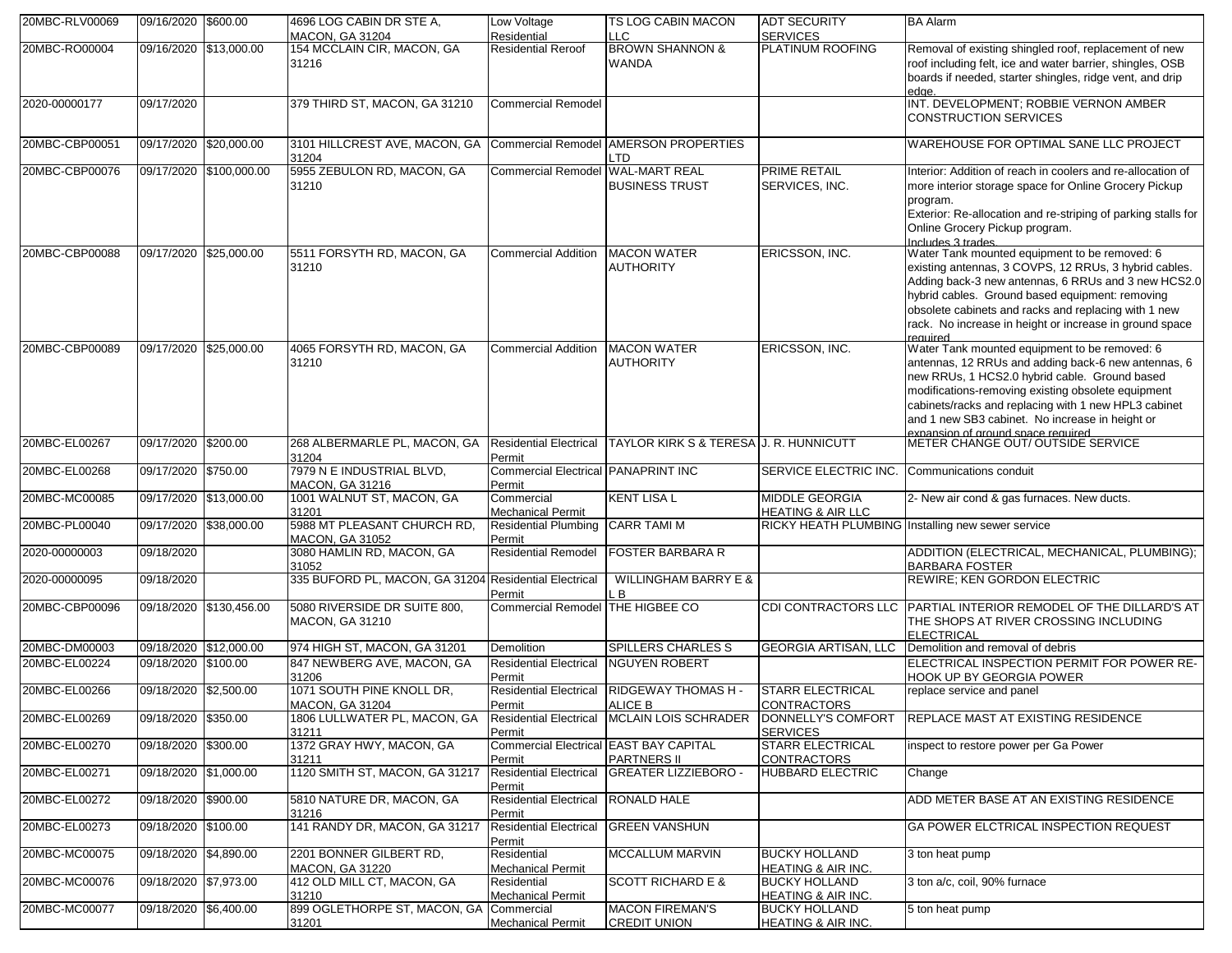| 20MBC-RLV00069 | 09/16/2020 \$600.00    |                         | 4696 LOG CABIN DR STE A,<br><b>MACON, GA 31204</b>                                         | Low Voltage<br>Residential                    | TS LOG CABIN MACON<br>LLC.                                           | <b>ADT SECURITY</b><br><b>SERVICES</b>     | <b>BA Alarm</b>                                                                                                 |
|----------------|------------------------|-------------------------|--------------------------------------------------------------------------------------------|-----------------------------------------------|----------------------------------------------------------------------|--------------------------------------------|-----------------------------------------------------------------------------------------------------------------|
| 20MBC-RO00004  | 09/16/2020 \$13,000.00 |                         | 154 MCCLAIN CIR, MACON, GA                                                                 | <b>Residential Reroof</b>                     | <b>BROWN SHANNON &amp;</b>                                           | <b>PLATINUM ROOFING</b>                    | Removal of existing shingled roof, replacement of new                                                           |
|                |                        |                         | 31216                                                                                      |                                               | <b>WANDA</b>                                                         |                                            | roof including felt, ice and water barrier, shingles, OSB                                                       |
|                |                        |                         |                                                                                            |                                               |                                                                      |                                            | boards if needed, starter shingles, ridge vent, and drip                                                        |
| 2020-00000177  | 09/17/2020             |                         | 379 THIRD ST, MACON, GA 31210                                                              | <b>Commercial Remodel</b>                     |                                                                      |                                            | edge.<br>INT. DEVELOPMENT: ROBBIE VERNON AMBER                                                                  |
|                |                        |                         |                                                                                            |                                               |                                                                      |                                            | <b>CONSTRUCTION SERVICES</b>                                                                                    |
| 20MBC-CBP00051 | 09/17/2020 \$20,000.00 |                         | 3101 HILLCREST AVE, MACON, GA Commercial Remodel AMERSON PROPERTIES<br>31204               |                                               | LTD                                                                  |                                            | WAREHOUSE FOR OPTIMAL SANE LLC PROJECT                                                                          |
| 20MBC-CBP00076 |                        | 09/17/2020 \$100,000.00 | 5955 ZEBULON RD, MACON, GA                                                                 | Commercial Remodel WAL-MART REAL              |                                                                      | <b>PRIME RETAIL</b>                        | Interior: Addition of reach in coolers and re-allocation of                                                     |
|                |                        |                         | 31210                                                                                      |                                               | <b>BUSINESS TRUST</b>                                                | SERVICES, INC.                             | more interior storage space for Online Grocery Pickup                                                           |
|                |                        |                         |                                                                                            |                                               |                                                                      |                                            | program.                                                                                                        |
|                |                        |                         |                                                                                            |                                               |                                                                      |                                            | Exterior: Re-allocation and re-striping of parking stalls for                                                   |
|                |                        |                         |                                                                                            |                                               |                                                                      |                                            | Online Grocery Pickup program.<br>Includes 3 trades                                                             |
| 20MBC-CBP00088 | 09/17/2020 \$25,000.00 |                         | 5511 FORSYTH RD, MACON, GA                                                                 | <b>Commercial Addition</b>                    | <b>MACON WATER</b>                                                   | ERICSSON, INC.                             | Water Tank mounted equipment to be removed: 6                                                                   |
|                |                        |                         | 31210                                                                                      |                                               | <b>AUTHORITY</b>                                                     |                                            | existing antennas, 3 COVPS, 12 RRUs, 3 hybrid cables.                                                           |
|                |                        |                         |                                                                                            |                                               |                                                                      |                                            | Adding back-3 new antennas, 6 RRUs and 3 new HCS2.0                                                             |
|                |                        |                         |                                                                                            |                                               |                                                                      |                                            | hybrid cables. Ground based equipment: removing                                                                 |
|                |                        |                         |                                                                                            |                                               |                                                                      |                                            | obsolete cabinets and racks and replacing with 1 new<br>rack. No increase in height or increase in ground space |
|                |                        |                         |                                                                                            |                                               |                                                                      |                                            | heniunen                                                                                                        |
| 20MBC-CBP00089 | 09/17/2020 \$25.000.00 |                         | 4065 FORSYTH RD, MACON, GA                                                                 | <b>Commercial Addition</b>                    | <b>MACON WATER</b>                                                   | ERICSSON, INC.                             | Water Tank mounted equipment to be removed: 6                                                                   |
|                |                        |                         | 31210                                                                                      |                                               | <b>AUTHORITY</b>                                                     |                                            | antennas, 12 RRUs and adding back-6 new antennas, 6                                                             |
|                |                        |                         |                                                                                            |                                               |                                                                      |                                            | new RRUs, 1 HCS2.0 hybrid cable. Ground based                                                                   |
|                |                        |                         |                                                                                            |                                               |                                                                      |                                            | modifications-removing existing obsolete equipment<br>cabinets/racks and replacing with 1 new HPL3 cabinet      |
|                |                        |                         |                                                                                            |                                               |                                                                      |                                            | and 1 new SB3 cabinet. No increase in height or                                                                 |
|                |                        |                         |                                                                                            |                                               |                                                                      |                                            |                                                                                                                 |
| 20MBC-EL00267  | 09/17/2020 \$200.00    |                         | 268 ALBERMARLE PL, MACON, GA Residential Electrical TAYLOR KIRK S & TERESA J. R. HUNNICUTT |                                               |                                                                      |                                            | expansion of ground space required<br>METER CHANGE OUT/ OUTSIDE SERVICE                                         |
| 20MBC-EL00268  | 09/17/2020 \$750.00    |                         | 31204<br>7979 N E INDUSTRIAL BLVD,                                                         | Permit<br>Commercial Electrical PANAPRINT INC |                                                                      | SERVICE ELECTRIC INC.                      | Communications conduit                                                                                          |
|                |                        |                         | <b>MACON, GA 31216</b>                                                                     | Permit                                        |                                                                      |                                            |                                                                                                                 |
| 20MBC-MC00085  | 09/17/2020 \$13,000.00 |                         | 1001 WALNUT ST, MACON, GA                                                                  | Commercial                                    | <b>KENT LISA L</b>                                                   | <b>MIDDLE GEORGIA</b>                      | 2- New air cond & gas furnaces. New ducts.                                                                      |
|                |                        |                         | 31201                                                                                      | <b>Mechanical Permit</b>                      |                                                                      | <b>HEATING &amp; AIR LLC</b>               |                                                                                                                 |
| 20MBC-PL00040  | 09/17/2020 \$38,000.00 |                         | 5988 MT PLEASANT CHURCH RD,                                                                | Residential Plumbing CARR TAMI M              |                                                                      |                                            | RICKY HEATH PLUMBING Installing new sewer service                                                               |
| 2020-00000003  | 09/18/2020             |                         | <b>MACON, GA 31052</b><br>3080 HAMLIN RD, MACON, GA                                        | Permit<br><b>Residential Remodel</b>          | <b>FOSTER BARBARA R</b>                                              |                                            | ADDITION (ELECTRICAL, MECHANICAL, PLUMBING);                                                                    |
|                |                        |                         | 31052                                                                                      |                                               |                                                                      |                                            | <b>BARBARA FOSTER</b>                                                                                           |
| 2020-00000095  | 09/18/2020             |                         | 335 BUFORD PL, MACON, GA 31204 Residential Electrical                                      |                                               | <b>WILLINGHAM BARRY E &amp;</b>                                      |                                            | REWIRE; KEN GORDON ELECTRIC                                                                                     |
|                |                        |                         |                                                                                            | Permit                                        | . В                                                                  |                                            |                                                                                                                 |
| 20MBC-CBP00096 |                        | 09/18/2020 \$130,456.00 | 5080 RIVERSIDE DR SUITE 800,                                                               | Commercial Remodel THE HIGBEE CO              |                                                                      |                                            | CDI CONTRACTORS LLC PARTIAL INTERIOR REMODEL OF THE DILLARD'S AT                                                |
|                |                        |                         | <b>MACON, GA 31210</b>                                                                     |                                               |                                                                      |                                            | THE SHOPS AT RIVER CROSSING INCLUDING<br><b>ELECTRICAL</b>                                                      |
| 20MBC-DM00003  | 09/18/2020 \$12,000.00 |                         | 974 HIGH ST, MACON, GA 31201                                                               | <b>Demolition</b>                             | <b>SPILLERS CHARLES S</b>                                            | <b>GEORGIA ARTISAN, LLC</b>                | Demolition and removal of debris                                                                                |
| 20MBC-EL00224  | 09/18/2020 \$100.00    |                         | 847 NEWBERG AVE, MACON, GA                                                                 | <b>Residential Electrical</b>                 | <b>NGUYEN ROBERT</b>                                                 |                                            | ELECTRICAL INSPECTION PERMIT FOR POWER RE-                                                                      |
|                |                        |                         | 31206                                                                                      | Permit                                        |                                                                      |                                            | <b>HOOK UP BY GEORGIA POWER</b>                                                                                 |
| 20MBC-EL00266  | 09/18/2020 \$2,500.00  |                         | 1071 SOUTH PINE KNOLL DR.                                                                  |                                               | Residential Electrical RIDGEWAY THOMAS H -                           | <b>STARR ELECTRICAL</b>                    | replace service and panel                                                                                       |
| 20MBC-EL00269  | 09/18/2020 \$350.00    |                         | <b>MACON, GA 31204</b><br>1806 LULLWATER PL, MACON, GA                                     | Permit                                        | <b>ALICE B</b><br><b>Residential Electrical MCLAIN LOIS SCHRADER</b> | <b>CONTRACTORS</b><br>DONNELLY'S COMFORT   | <b>REPLACE MAST AT EXISTING RESIDENCE</b>                                                                       |
|                |                        |                         | 31211                                                                                      | Permit                                        |                                                                      | <b>SERVICES</b>                            |                                                                                                                 |
| 20MBC-EL00270  | 09/18/2020 \$300.00    |                         | 1372 GRAY HWY, MACON, GA                                                                   | <b>Commercial Electrical EAST BAY CAPITAL</b> |                                                                      | STARR ELECTRICAL                           | inspect to restore power per Ga Power                                                                           |
|                |                        |                         | 31211                                                                                      | Permit                                        | <b>PARTNERS II</b>                                                   | <b>CONTRACTORS</b>                         |                                                                                                                 |
| 20MBC-EL00271  | 09/18/2020 \$1,000.00  |                         | 1120 SMITH ST, MACON, GA 31217                                                             | Permit                                        | Residential Electrical GREATER LIZZIEBORO -                          | <b>HUBBARD ELECTRIC</b>                    | Change                                                                                                          |
| 20MBC-EL00272  | 09/18/2020 \$900.00    |                         | 5810 NATURE DR, MACON, GA                                                                  | Residential Electrical RONALD HALE            |                                                                      |                                            | ADD METER BASE AT AN EXISTING RESIDENCE                                                                         |
|                |                        |                         | 31216                                                                                      | Permit                                        |                                                                      |                                            |                                                                                                                 |
| 20MBC-EL00273  | 09/18/2020 \$100.00    |                         | 141 RANDY DR, MACON, GA 31217                                                              | <b>Residential Electrical</b>                 | <b>GREEN VANSHUN</b>                                                 |                                            | GA POWER ELCTRICAL INSPECTION REQUEST                                                                           |
|                |                        |                         |                                                                                            | Permit                                        |                                                                      |                                            |                                                                                                                 |
| 20MBC-MC00075  | 09/18/2020 \$4,890.00  |                         | 2201 BONNER GILBERT RD.<br><b>MACON, GA 31220</b>                                          | Residential<br><b>Mechanical Permit</b>       | MCCALLUM MARVIN                                                      | <b>BUCKY HOLLAND</b><br>HEATING & AIR INC. | 3 ton heat pump                                                                                                 |
| 20MBC-MC00076  | 09/18/2020 \$7,973.00  |                         | 412 OLD MILL CT, MACON, GA                                                                 | Residential                                   | <b>SCOTT RICHARD E &amp;</b>                                         | <b>BUCKY HOLLAND</b>                       | 3 ton a/c, coil, 90% furnace                                                                                    |
|                |                        |                         | 31210                                                                                      | <b>Mechanical Permit</b>                      |                                                                      | <b>HEATING &amp; AIR INC.</b>              |                                                                                                                 |
| 20MBC-MC00077  | 09/18/2020 \$6,400.00  |                         | 899 OGLETHORPE ST, MACON, GA                                                               | Commercial                                    | <b>MACON FIREMAN'S</b>                                               | <b>BUCKY HOLLAND</b>                       | 5 ton heat pump                                                                                                 |
|                |                        |                         | 31201                                                                                      | <b>Mechanical Permit</b>                      | <b>CREDIT UNION</b>                                                  | <b>HEATING &amp; AIR INC.</b>              |                                                                                                                 |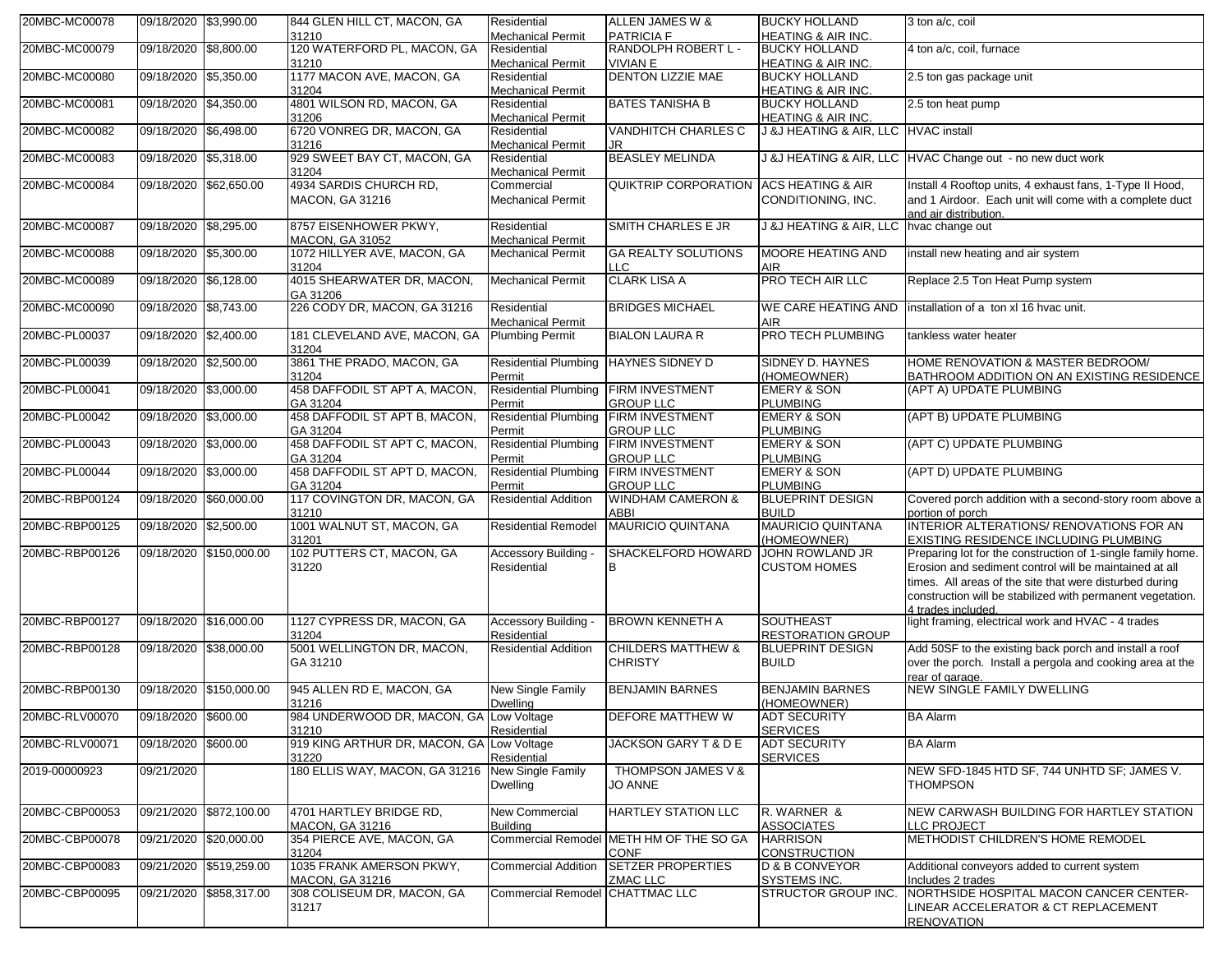| 20MBC-MC00078  | 09/18/2020 \$3,990.00  |                         | 844 GLEN HILL CT, MACON, GA<br>31210               | Residential<br><b>Mechanical Permit</b>        | ALLEN JAMES W &<br><b>PATRICIA F</b>                   | <b>BUCKY HOLLAND</b><br><b>HEATING &amp; AIR INC.</b> | 3 ton a/c, coil                                                                                                       |
|----------------|------------------------|-------------------------|----------------------------------------------------|------------------------------------------------|--------------------------------------------------------|-------------------------------------------------------|-----------------------------------------------------------------------------------------------------------------------|
| 20MBC-MC00079  | 09/18/2020 \$8,800.00  |                         | 120 WATERFORD PL, MACON, GA                        | Residential                                    | <b>RANDOLPH ROBERT L-</b>                              | <b>BUCKY HOLLAND</b>                                  | 4 ton a/c, coil, furnace                                                                                              |
|                |                        |                         | 31210                                              | <b>Mechanical Permit</b>                       | <b>VIVIAN E</b>                                        | HEATING & AIR INC.                                    |                                                                                                                       |
| 20MBC-MC00080  | 09/18/2020 \$5,350.00  |                         | 1177 MACON AVE, MACON, GA                          | Residential                                    | <b>DENTON LIZZIE MAE</b>                               | <b>BUCKY HOLLAND</b>                                  | 2.5 ton gas package unit                                                                                              |
|                |                        |                         | 31204                                              | <b>Mechanical Permit</b>                       |                                                        | <b>HEATING &amp; AIR INC.</b>                         |                                                                                                                       |
| 20MBC-MC00081  | 09/18/2020 \$4,350.00  |                         | 4801 WILSON RD, MACON, GA<br>31206                 | Residential<br><b>Mechanical Permit</b>        | <b>BATES TANISHA B</b>                                 | <b>BUCKY HOLLAND</b><br><b>HEATING &amp; AIR INC.</b> | 2.5 ton heat pump                                                                                                     |
| 20MBC-MC00082  | 09/18/2020 \$6,498.00  |                         | 6720 VONREG DR, MACON, GA                          | Residential                                    | <b>VANDHITCH CHARLES C</b>                             | J &J HEATING & AIR, LLC HVAC install                  |                                                                                                                       |
|                |                        |                         | 31216                                              | <b>Mechanical Permit</b>                       | JR                                                     |                                                       |                                                                                                                       |
| 20MBC-MC00083  | 09/18/2020 \$5,318.00  |                         | 929 SWEET BAY CT, MACON, GA<br>31204               | Residential                                    | <b>BEASLEY MELINDA</b>                                 |                                                       | J &J HEATING & AIR, LLC HVAC Change out - no new duct work                                                            |
| 20MBC-MC00084  |                        | 09/18/2020 \$62,650.00  | 4934 SARDIS CHURCH RD,                             | <b>Mechanical Permit</b><br>Commercial         | QUIKTRIP CORPORATION ACS HEATING & AIR                 |                                                       | Install 4 Rooftop units, 4 exhaust fans, 1-Type II Hood,                                                              |
|                |                        |                         | <b>MACON, GA 31216</b>                             | <b>Mechanical Permit</b>                       |                                                        | CONDITIONING, INC.                                    | and 1 Airdoor. Each unit will come with a complete duct<br>and air distribution.                                      |
| 20MBC-MC00087  | 09/18/2020 \$8.295.00  |                         | 8757 EISENHOWER PKWY,<br>MACON, GA 31052           | Residential<br><b>Mechanical Permit</b>        | SMITH CHARLES E JR                                     | J &J HEATING & AIR, LLC hvac change out               |                                                                                                                       |
| 20MBC-MC00088  | 09/18/2020 \$5,300.00  |                         | 1072 HILLYER AVE, MACON, GA                        | <b>Mechanical Permit</b>                       | <b>GA REALTY SOLUTIONS</b>                             | MOORE HEATING AND                                     | install new heating and air system                                                                                    |
|                |                        |                         | 31204                                              |                                                | LLC                                                    | <b>AIR</b>                                            |                                                                                                                       |
| 20MBC-MC00089  | 09/18/2020 \$6,128.00  |                         | 4015 SHEARWATER DR, MACON,<br>GA 31206             | <b>Mechanical Permit</b>                       | <b>CLARK LISA A</b>                                    | <b>PRO TECH AIR LLC</b>                               | Replace 2.5 Ton Heat Pump system                                                                                      |
| 20MBC-MC00090  | 09/18/2020 \$8,743.00  |                         | 226 CODY DR, MACON, GA 31216                       | Residential                                    | <b>BRIDGES MICHAEL</b>                                 | WE CARE HEATING AND                                   | installation of a ton xl 16 hvac unit.                                                                                |
|                |                        |                         |                                                    | <b>Mechanical Permit</b>                       |                                                        | <b>AIR</b>                                            |                                                                                                                       |
| 20MBC-PL00037  | 09/18/2020 \$2,400.00  |                         | 181 CLEVELAND AVE, MACON, GA<br>31204              | <b>Plumbing Permit</b>                         | <b>BIALON LAURA R</b>                                  | PRO TECH PLUMBING                                     | tankless water heater                                                                                                 |
| 20MBC-PL00039  | 09/18/2020 \$2,500.00  |                         | 3861 THE PRADO, MACON, GA                          | Residential Plumbing HAYNES SIDNEY D           |                                                        | SIDNEY D. HAYNES                                      | HOME RENOVATION & MASTER BEDROOM/                                                                                     |
|                |                        |                         | 31204                                              | Permit                                         |                                                        | (HOMEOWNER)                                           | BATHROOM ADDITION ON AN EXISTING RESIDENCE                                                                            |
| 20MBC-PL00041  | 09/18/2020 \$3,000.00  |                         | 458 DAFFODIL ST APT A, MACON,<br>GA 31204          | Residential Plumbing FIRM INVESTMENT<br>Permit | <b>GROUP LLC</b>                                       | <b>EMERY &amp; SON</b><br><b>PLUMBING</b>             | (APT A) UPDATE PLUMBING                                                                                               |
| 20MBC-PL00042  | 09/18/2020 \$3,000.00  |                         | 458 DAFFODIL ST APT B, MACON,                      | Residential Plumbing FIRM INVESTMENT           |                                                        | <b>EMERY &amp; SON</b>                                | (APT B) UPDATE PLUMBING                                                                                               |
|                |                        |                         | GA 31204                                           | Permit                                         | <b>GROUP LLC</b>                                       | <b>PLUMBING</b>                                       |                                                                                                                       |
| 20MBC-PL00043  | 09/18/2020 \$3,000.00  |                         | 458 DAFFODIL ST APT C, MACON,<br>GA 31204          | Residential Plumbing FIRM INVESTMENT<br>Permit | <b>GROUP LLC</b>                                       | <b>EMERY &amp; SON</b><br><b>PLUMBING</b>             | (APT C) UPDATE PLUMBING                                                                                               |
| 20MBC-PL00044  | 09/18/2020 \$3,000.00  |                         | 458 DAFFODIL ST APT D, MACON,                      | Residential Plumbing FIRM INVESTMENT           |                                                        | <b>EMERY &amp; SON</b>                                | (APT D) UPDATE PLUMBING                                                                                               |
|                |                        |                         | GA 31204                                           | Permit                                         | <b>GROUP LLC</b>                                       | <b>PLUMBING</b>                                       |                                                                                                                       |
| 20MBC-RBP00124 | 09/18/2020 \$60,000.00 |                         | 117 COVINGTON DR, MACON, GA<br>31210               | <b>Residential Addition</b>                    | <b>WINDHAM CAMERON &amp;</b><br><b>ABBI</b>            | <b>BLUEPRINT DESIGN</b><br><b>BUILD</b>               | Covered porch addition with a second-story room above a<br>portion of porch                                           |
| 20MBC-RBP00125 | 09/18/2020 \$2,500.00  |                         | 1001 WALNUT ST, MACON, GA                          | <b>Residential Remodel</b>                     | <b>MAURICIO QUINTANA</b>                               | MAURICIO QUINTANA                                     | INTERIOR ALTERATIONS/ RENOVATIONS FOR AN                                                                              |
|                |                        |                         | 31201                                              |                                                |                                                        | (HOMEOWNER)                                           | EXISTING RESIDENCE INCLUDING PLUMBING                                                                                 |
| 20MBC-RBP00126 |                        | 09/18/2020 \$150,000.00 | 102 PUTTERS CT, MACON, GA                          | Accessory Building -                           | SHACKELFORD HOWARD                                     | <b>JOHN ROWLAND JR</b>                                | Preparing lot for the construction of 1-single family home.                                                           |
|                |                        |                         | 31220                                              | Residential                                    | B                                                      | <b>CUSTOM HOMES</b>                                   | Erosion and sediment control will be maintained at all                                                                |
|                |                        |                         |                                                    |                                                |                                                        |                                                       | times. All areas of the site that were disturbed during<br>construction will be stabilized with permanent vegetation. |
|                |                        |                         |                                                    |                                                |                                                        |                                                       | 4 trades included                                                                                                     |
| 20MBC-RBP00127 | 09/18/2020 \$16,000.00 |                         | 1127 CYPRESS DR, MACON, GA                         | Accessory Building -                           | <b>BROWN KENNETH A</b>                                 | <b>SOUTHEAST</b>                                      | light framing, electrical work and HVAC - 4 trades                                                                    |
|                |                        |                         | 31204                                              | Residential                                    |                                                        | <b>RESTORATION GROUP</b>                              |                                                                                                                       |
| 20MBC-RBP00128 | 09/18/2020 \$38,000.00 |                         | 5001 WELLINGTON DR, MACON,                         | <b>Residential Addition</b>                    | <b>CHILDERS MATTHEW &amp;</b>                          | <b>BLUEPRINT DESIGN</b>                               | Add 50SF to the existing back porch and install a roof                                                                |
|                |                        |                         | GA 31210                                           |                                                | <b>CHRISTY</b>                                         | <b>BUILD</b>                                          | over the porch. Install a pergola and cooking area at the                                                             |
| 20MBC-RBP00130 |                        | 09/18/2020 \$150,000.00 | 945 ALLEN RD E, MACON, GA                          | New Single Family                              | <b>BENJAMIN BARNES</b>                                 | <b>BENJAMIN BARNES</b>                                | rear of garage.<br><b>NEW SINGLE FAMILY DWELLING</b>                                                                  |
|                |                        |                         | 31216                                              | <b>Dwelling</b>                                |                                                        | (HOMEOWNER)                                           |                                                                                                                       |
| 20MBC-RLV00070 | 09/18/2020 \$600.00    |                         | 984 UNDERWOOD DR, MACON, GA Low Voltage            |                                                | <b>DEFORE MATTHEW W</b>                                | ADI SECURITY                                          | <b>BA Alarm</b>                                                                                                       |
|                |                        |                         | 31210                                              | Residential                                    |                                                        | <b>SERVICES</b>                                       | <b>BA Alarm</b>                                                                                                       |
| 20MBC-RLV00071 | 09/18/2020 \$600.00    |                         | 919 KING ARTHUR DR, MACON, GA Low Voltage<br>31220 | Residential                                    | JACKSON GARY T & D E                                   | <b>ADT SECURITY</b><br><b>SERVICES</b>                |                                                                                                                       |
| 2019-00000923  | 09/21/2020             |                         | 180 ELLIS WAY, MACON, GA 31216 New Single Family   |                                                | THOMPSON JAMES V &                                     |                                                       | NEW SFD-1845 HTD SF, 744 UNHTD SF; JAMES V.                                                                           |
|                |                        |                         |                                                    | <b>Dwelling</b>                                | <b>JO ANNE</b>                                         |                                                       | <b>THOMPSON</b>                                                                                                       |
| 20MBC-CBP00053 |                        | 09/21/2020 \$872,100.00 | 4701 HARTLEY BRIDGE RD,                            | New Commercial                                 | <b>HARTLEY STATION LLC</b>                             | R. WARNER &                                           | NEW CARWASH BUILDING FOR HARTLEY STATION                                                                              |
|                |                        |                         | <b>MACON, GA 31216</b>                             | <b>Building</b>                                |                                                        | <b>ASSOCIATES</b>                                     | LLC PROJECT                                                                                                           |
| 20MBC-CBP00078 |                        | 09/21/2020 \$20,000.00  | 354 PIERCE AVE, MACON, GA<br>31204                 |                                                | Commercial Remodel METH HM OF THE SO GA<br><b>CONF</b> | <b>HARRISON</b><br><b>CONSTRUCTION</b>                | METHODIST CHILDREN'S HOME REMODEL                                                                                     |
| 20MBC-CBP00083 |                        | 09/21/2020 \$519,259.00 | 1035 FRANK AMERSON PKWY,<br><b>MACON, GA 31216</b> | <b>Commercial Addition</b>                     | <b>SETZER PROPERTIES</b><br><b>ZMAC LLC</b>            | <b>D &amp; B CONVEYOR</b><br>SYSTEMS INC.             | Additional conveyors added to current system<br>Includes 2 trades                                                     |
| 20MBC-CBP00095 |                        | 09/21/2020 \$858,317.00 | 308 COLISEUM DR, MACON, GA                         | Commercial Remodel CHATTMAC LLC                |                                                        | STRUCTOR GROUP INC.                                   | NORTHSIDE HOSPITAL MACON CANCER CENTER-                                                                               |
|                |                        |                         | 31217                                              |                                                |                                                        |                                                       | LINEAR ACCELERATOR & CT REPLACEMENT<br><b>RENOVATION</b>                                                              |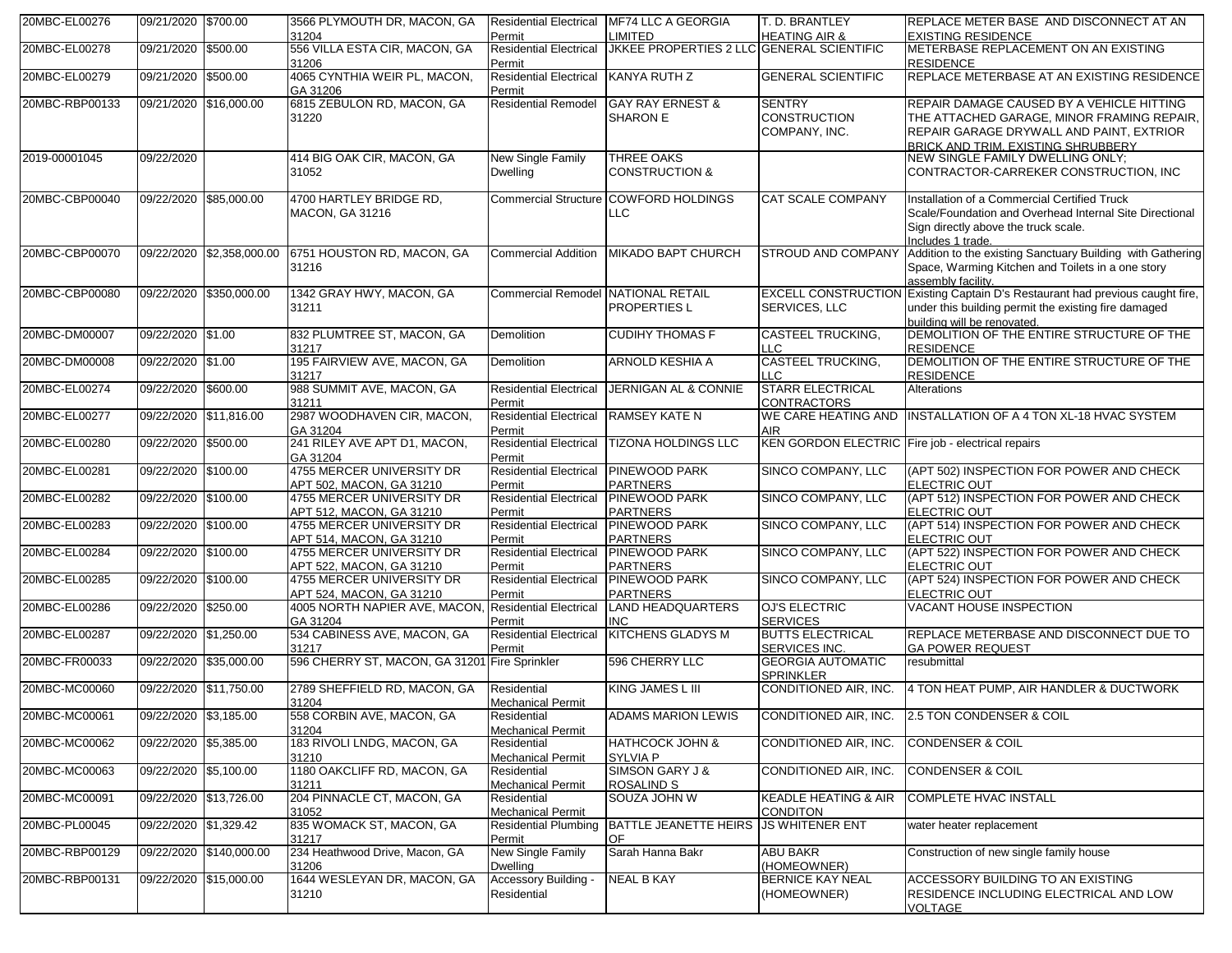| 20MBC-EL00276  | 09/21/2020 \$700.00    |                           | 3566 PLYMOUTH DR, MACON, GA<br>31204                  | <b>Residential Electrical</b><br>Permit  | <b>MF74 LLC A GEORGIA</b><br><b>LIMITED</b>      | T. D. BRANTLEY<br><b>HEATING AIR &amp;</b>            | REPLACE METER BASE AND DISCONNECT AT AN<br><b>EXISTING RESIDENCE</b>                                                                                                      |
|----------------|------------------------|---------------------------|-------------------------------------------------------|------------------------------------------|--------------------------------------------------|-------------------------------------------------------|---------------------------------------------------------------------------------------------------------------------------------------------------------------------------|
| 20MBC-EL00278  | 09/21/2020             | \$500.00                  | 556 VILLA ESTA CIR. MACON, GA<br>31206                | <b>Residential Electrical</b><br>Permit  | JKKEE PROPERTIES 2 LLC GENERAL SCIENTIFIC        |                                                       | METERBASE REPLACEMENT ON AN EXISTING<br><b>RESIDENCE</b>                                                                                                                  |
| 20MBC-EL00279  | 09/21/2020             | \$500.00                  | 4065 CYNTHIA WEIR PL, MACON,<br>GA 31206              | <b>Residential Electrical</b><br>Permit  | KANYA RUTH Z                                     | <b>GENERAL SCIENTIFIC</b>                             | REPLACE METERBASE AT AN EXISTING RESIDENCE                                                                                                                                |
| 20MBC-RBP00133 |                        | 09/21/2020 \$16.000.00    | 6815 ZEBULON RD, MACON, GA<br>31220                   | <b>Residential Remodel</b>               | <b>GAY RAY ERNEST &amp;</b><br><b>SHARON E</b>   | <b>SENTRY</b><br><b>CONSTRUCTION</b><br>COMPANY, INC. | REPAIR DAMAGE CAUSED BY A VEHICLE HITTING<br>THE ATTACHED GARAGE, MINOR FRAMING REPAIR,<br>REPAIR GARAGE DRYWALL AND PAINT, EXTRIOR<br>BRICK AND TRIM. EXISTING SHRUBBERY |
| 2019-00001045  | 09/22/2020             |                           | 414 BIG OAK CIR, MACON, GA<br>31052                   | New Single Family<br><b>Dwelling</b>     | THREE OAKS<br><b>CONSTRUCTION &amp;</b>          |                                                       | NEW SINGLE FAMILY DWELLING ONLY;<br>CONTRACTOR-CARREKER CONSTRUCTION, INC                                                                                                 |
| 20MBC-CBP00040 |                        | 09/22/2020 \$85.000.00    | 4700 HARTLEY BRIDGE RD.<br><b>MACON, GA 31216</b>     | <b>Commercial Structure</b>              | <b>COWFORD HOLDINGS</b><br><b>LLC</b>            | <b>CAT SCALE COMPANY</b>                              | Installation of a Commercial Certified Truck<br>Scale/Foundation and Overhead Internal Site Directional<br>Sign directly above the truck scale.<br>Includes 1 trade.      |
| 20MBC-CBP00070 |                        | 09/22/2020 \$2,358,000.00 | 6751 HOUSTON RD, MACON, GA<br>31216                   | <b>Commercial Addition</b>               | <b>MIKADO BAPT CHURCH</b>                        | <b>STROUD AND COMPANY</b>                             | Addition to the existing Sanctuary Building with Gathering<br>Space, Warming Kitchen and Toilets in a one story<br>assembly facility.                                     |
| 20MBC-CBP00080 | 09/22/2020             | \$350,000.00              | 1342 GRAY HWY, MACON, GA<br>31211                     | Commercial Remodel NATIONAL RETAIL       | <b>PROPERTIESL</b>                               | SERVICES, LLC                                         | EXCELL CONSTRUCTION Existing Captain D's Restaurant had previous caught fire,<br>under this building permit the existing fire damaged<br>building will be renovated.      |
| 20MBC-DM00007  | 09/22/2020 \$1.00      |                           | 832 PLUMTREE ST, MACON, GA<br>31217                   | Demolition                               | <b>CUDIHY THOMAS F</b>                           | <b>CASTEEL TRUCKING,</b><br><b>LLC</b>                | DEMOLITION OF THE ENTIRE STRUCTURE OF THE<br><b>RESIDENCE</b>                                                                                                             |
| 20MBC-DM00008  | 09/22/2020 \$1.00      |                           | 195 FAIRVIEW AVE, MACON, GA<br>31217                  | Demolition                               | <b>ARNOLD KESHIA A</b>                           | <b>CASTEEL TRUCKING,</b><br><b>LLC</b>                | DEMOLITION OF THE ENTIRE STRUCTURE OF THE<br><b>RESIDENCE</b>                                                                                                             |
| 20MBC-EL00274  | 09/22/2020 \$600.00    |                           | 988 SUMMIT AVE, MACON, GA<br>31211                    | <b>Residential Electrical</b><br>Permit  | <b>JERNIGAN AL &amp; CONNIE</b>                  | <b>STARR ELECTRICAL</b><br><b>CONTRACTORS</b>         | Alterations                                                                                                                                                               |
| 20MBC-EL00277  | 09/22/2020 \$11,816.00 |                           | 2987 WOODHAVEN CIR. MACON.<br>GA 31204                | <b>Residential Electrical</b><br>Permit  | <b>RAMSEY KATE N</b>                             | <b>AIR</b>                                            | WE CARE HEATING AND INSTALLATION OF A 4 TON XL-18 HVAC SYSTEM                                                                                                             |
| 20MBC-EL00280  | 09/22/2020             | \$500.00                  | 241 RILEY AVE APT D1, MACON,<br>GA 31204              | <b>Residential Electrical</b><br>Permit  | <b>TIZONA HOLDINGS LLC</b>                       | KEN GORDON ELECTRIC Fire job - electrical repairs     |                                                                                                                                                                           |
| 20MBC-EL00281  | 09/22/2020             | \$100.00                  | 4755 MERCER UNIVERSITY DR<br>APT 502, MACON, GA 31210 | <b>Residential Electrical</b><br>Permit  | <b>PINEWOOD PARK</b><br><b>PARTNERS</b>          | SINCO COMPANY, LLC                                    | (APT 502) INSPECTION FOR POWER AND CHECK<br><b>ELECTRIC OUT</b>                                                                                                           |
| 20MBC-EL00282  | 09/22/2020 \$100.00    |                           | 4755 MERCER UNIVERSITY DR<br>APT 512, MACON, GA 31210 | <b>Residential Electrical</b><br>Permit  | <b>PINEWOOD PARK</b><br><b>PARTNERS</b>          | SINCO COMPANY, LLC                                    | (APT 512) INSPECTION FOR POWER AND CHECK<br><b>ELECTRIC OUT</b>                                                                                                           |
| 20MBC-EL00283  | 09/22/2020 \$100.00    |                           | 4755 MERCER UNIVERSITY DR<br>APT 514, MACON, GA 31210 | <b>Residential Electrical</b><br>Permit  | <b>PINEWOOD PARK</b><br><b>PARTNERS</b>          | SINCO COMPANY, LLC                                    | (APT 514) INSPECTION FOR POWER AND CHECK<br><b>ELECTRIC OUT</b>                                                                                                           |
| 20MBC-EL00284  | 09/22/2020 \$100.00    |                           | 4755 MERCER UNIVERSITY DR<br>APT 522, MACON, GA 31210 | <b>Residential Electrical</b><br>Permit  | <b>PINEWOOD PARK</b><br><b>PARTNERS</b>          | SINCO COMPANY, LLC                                    | (APT 522) INSPECTION FOR POWER AND CHECK<br><b>ELECTRIC OUT</b>                                                                                                           |
| 20MBC-EL00285  | 09/22/2020 \$100.00    |                           | 4755 MERCER UNIVERSITY DR<br>APT 524, MACON, GA 31210 | <b>Residential Electrical</b><br>Permit  | <b>PINEWOOD PARK</b><br><b>PARTNERS</b>          | SINCO COMPANY, LLC                                    | (APT 524) INSPECTION FOR POWER AND CHECK<br><b>ELECTRIC OUT</b>                                                                                                           |
| 20MBC-EL00286  | 09/22/2020             | \$250.00                  | 4005 NORTH NAPIER AVE, MACON.<br>GA 31204             | <b>Residential Electrical</b><br>Permit  | <b>LAND HEADQUARTERS</b><br><b>INC</b>           | <b>OJ'S ELECTRIC</b><br><b>SERVICES</b>               | <b>VACANT HOUSE INSPECTION</b>                                                                                                                                            |
| 20MBC-EL00287  | 09/22/2020 \$1,250.00  |                           | 534 CABINESS AVE, MACON, GA<br>31217                  | <b>Residential Electrical</b><br>Permit  | <b>KITCHENS GLADYS M</b>                         | <b>BUTTS ELECTRICAL</b><br>SERVICES INC.              | REPLACE METERBASE AND DISCONNECT DUE TO<br><b>GA POWER REQUEST</b>                                                                                                        |
| 20MBC-FR00033  |                        | 09/22/2020 \$35.000.00    | 596 CHERRY ST, MACON, GA 31201 Fire Sprinkler         |                                          | 596 CHERRY LLC                                   | <b>GEORGIA AUTOMATIC</b><br><b>SPRINKLER</b>          | resubmittal                                                                                                                                                               |
| 20MBC-MC00060  |                        | 09/22/2020 \$11.750.00    | 2789 SHEFFIELD RD, MACON, GA<br>31204                 | Residential<br><b>Mechanical Permit</b>  | KING JAMES L III                                 | CONDITIONED AIR, INC.                                 | 4 TON HEAT PUMP, AIR HANDLER & DUCTWORK                                                                                                                                   |
| 20MBC-MC00061  | 09/22/2020 \$3,185.00  |                           | 558 CORBIN AVE, MACON, GA<br>31204                    | Residential<br><b>Mechanical Permit</b>  | <b>ADAMS MARION LEWIS</b>                        |                                                       | CONDITIONED AIR, INC. 2.5 TON CONDENSER & COIL                                                                                                                            |
| 20MBC-MC00062  | 09/22/2020 \$5,385.00  |                           | 183 RIVOLI LNDG, MACON, GA<br>31210                   | Residential<br><b>Mechanical Permit</b>  | <b>HATHCOCK JOHN &amp;</b><br>SYLVIA P           | CONDITIONED AIR, INC.                                 | <b>CONDENSER &amp; COIL</b>                                                                                                                                               |
| 20MBC-MC00063  | 09/22/2020 \$5,100.00  |                           | 1180 OAKCLIFF RD, MACON, GA<br>31211                  | Residential<br><b>Mechanical Permit</b>  | SIMSON GARY J &<br>ROSALIND S                    | CONDITIONED AIR, INC.                                 | <b>CONDENSER &amp; COIL</b>                                                                                                                                               |
| 20MBC-MC00091  |                        | 09/22/2020 \$13,726.00    | 204 PINNACLE CT, MACON, GA<br>31052                   | Residential<br>Mechanical Permit         | SOUZA JOHN W                                     | <b>KEADLE HEATING &amp; AIR</b><br><b>CONDITON</b>    | <b>COMPLETE HVAC INSTALL</b>                                                                                                                                              |
| 20MBC-PL00045  | 09/22/2020 \$1,329.42  |                           | 835 WOMACK ST, MACON, GA<br>31217                     | Permit                                   | Residential Plumbing BATTLE JEANETTE HEIRS<br>OF | <b>JS WHITENER ENT</b>                                | water heater replacement                                                                                                                                                  |
| 20MBC-RBP00129 |                        | 09/22/2020 \$140,000.00   | 234 Heathwood Drive, Macon, GA<br>31206               | New Single Family<br>Dwelling            | Sarah Hanna Bakr                                 | ABU BAKR<br>(HOMEOWNER)                               | Construction of new single family house                                                                                                                                   |
| 20MBC-RBP00131 |                        | 09/22/2020 \$15,000.00    | 1644 WESLEYAN DR, MACON, GA<br>31210                  | <b>Accessory Building</b><br>Residential | <b>NEAL B KAY</b>                                | <b>BERNICE KAY NEAL</b><br>(HOMEOWNER)                | ACCESSORY BUILDING TO AN EXISTING<br>RESIDENCE INCLUDING ELECTRICAL AND LOW<br><b>VOLTAGE</b>                                                                             |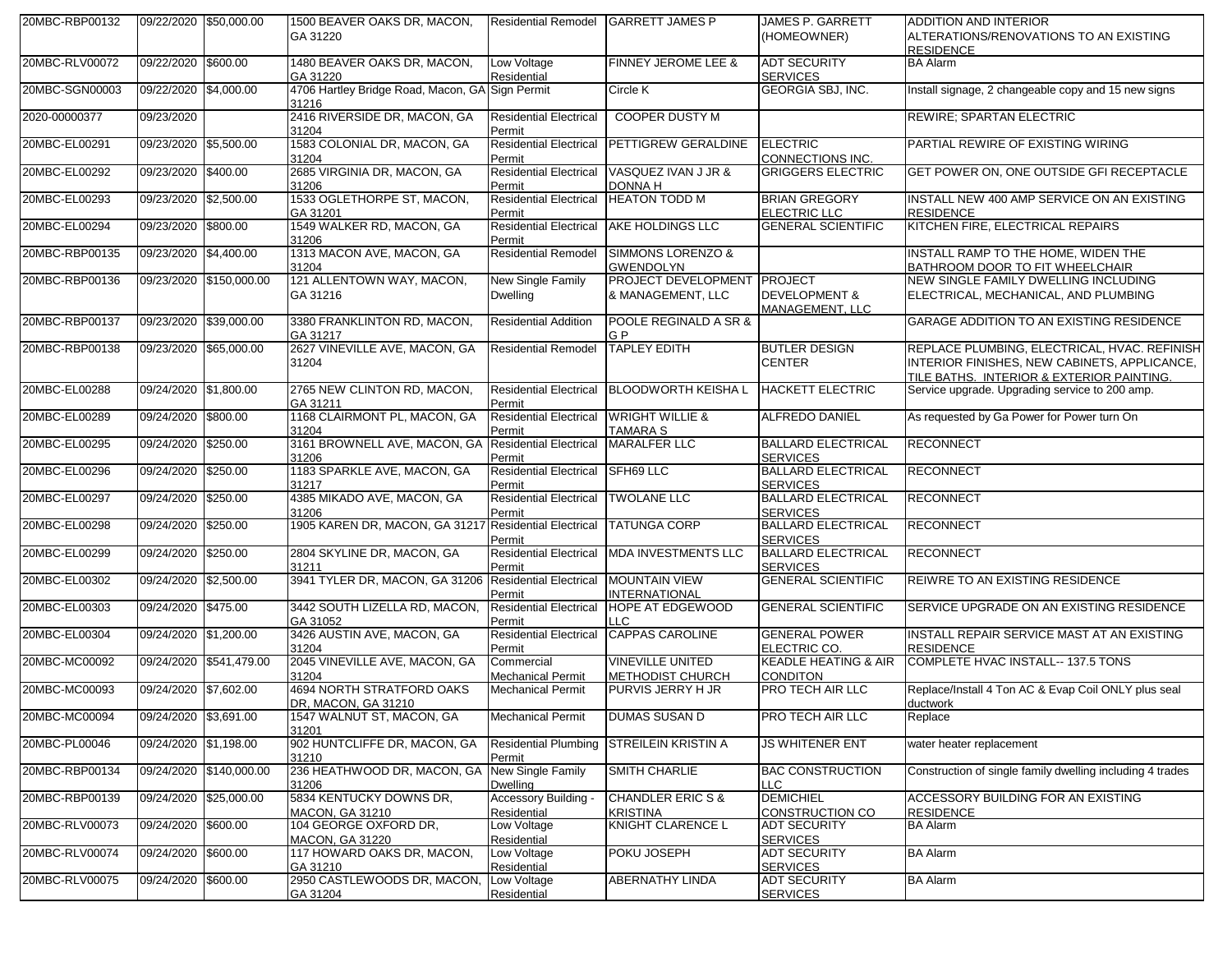| 20MBC-RBP00132 | 09/22/2020 \$50,000.00 |                         | 1500 BEAVER OAKS DR, MACON,<br>GA 31220                      | <b>Residential Remodel</b>              | <b>GARRETT JAMES P</b>                             | <b>JAMES P. GARRETT</b><br>(HOMEOWNER)                        | <b>ADDITION AND INTERIOR</b><br>ALTERATIONS/RENOVATIONS TO AN EXISTING<br><b>RESIDENCE</b>                                                |
|----------------|------------------------|-------------------------|--------------------------------------------------------------|-----------------------------------------|----------------------------------------------------|---------------------------------------------------------------|-------------------------------------------------------------------------------------------------------------------------------------------|
| 20MBC-RLV00072 | 09/22/2020 \$600.00    |                         | 1480 BEAVER OAKS DR, MACON,<br>GA 31220                      | Low Voltage<br>Residential              | FINNEY JEROME LEE &                                | <b>ADT SECURITY</b><br><b>SERVICES</b>                        | <b>BA Alarm</b>                                                                                                                           |
| 20MBC-SGN00003 | 09/22/2020 \$4,000.00  |                         | 4706 Hartley Bridge Road, Macon, GA Sign Permit<br>31216     |                                         | Circle K                                           | <b>GEORGIA SBJ, INC.</b>                                      | Install signage, 2 changeable copy and 15 new signs                                                                                       |
| 2020-00000377  | 09/23/2020             |                         | 2416 RIVERSIDE DR, MACON, GA<br>31204                        | <b>Residential Electrical</b><br>Permit | <b>COOPER DUSTY M</b>                              |                                                               | <b>REWIRE: SPARTAN ELECTRIC</b>                                                                                                           |
| 20MBC-EL00291  | 09/23/2020 \$5,500.00  |                         | 1583 COLONIAL DR, MACON, GA<br>31204                         | <b>Residential Electrical</b><br>Permit | <b>PETTIGREW GERALDINE</b>                         | <b>ELECTRIC</b><br>CONNECTIONS INC.                           | PARTIAL REWIRE OF EXISTING WIRING                                                                                                         |
| 20MBC-EL00292  | 09/23/2020 \$400.00    |                         | 2685 VIRGINIA DR, MACON, GA<br>31206                         | <b>Residential Electrical</b><br>Permit | VASQUEZ IVAN J JR &<br>DONNA H                     | <b>GRIGGERS ELECTRIC</b>                                      | GET POWER ON, ONE OUTSIDE GFI RECEPTACLE                                                                                                  |
| 20MBC-EL00293  | 09/23/2020 \$2,500.00  |                         | 1533 OGLETHORPE ST, MACON,<br>GA 31201                       | <b>Residential Electrical</b><br>Permit | <b>HEATON TODD M</b>                               | <b>BRIAN GREGORY</b><br>ELECTRIC LLC                          | INSTALL NEW 400 AMP SERVICE ON AN EXISTING<br>RESIDENCE                                                                                   |
| 20MBC-EL00294  | 09/23/2020 \$800.00    |                         | 1549 WALKER RD, MACON, GA<br>31206                           | <b>Residential Electrical</b><br>Permit | AKE HOLDINGS LLC                                   | <b>GENERAL SCIENTIFIC</b>                                     | KITCHEN FIRE, ELECTRICAL REPAIRS                                                                                                          |
| 20MBC-RBP00135 | 09/23/2020 \$4,400.00  |                         | 1313 MACON AVE, MACON, GA<br>31204                           | <b>Residential Remodel</b>              | <b>SIMMONS LORENZO &amp;</b><br><b>GWENDOLYN</b>   |                                                               | INSTALL RAMP TO THE HOME, WIDEN THE<br>BATHROOM DOOR TO FIT WHEELCHAIR                                                                    |
| 20MBC-RBP00136 |                        | 09/23/2020 \$150,000.00 | 121 ALLENTOWN WAY, MACON,<br>GA 31216                        | New Single Family<br><b>Dwelling</b>    | <b>PROJECT DEVELOPMENT</b><br>& MANAGEMENT, LLC    | <b>PROJECT</b><br><b>DEVELOPMENT &amp;</b><br>MANAGEMENT. LLC | NEW SINGLE FAMILY DWELLING INCLUDING<br>ELECTRICAL, MECHANICAL, AND PLUMBING                                                              |
| 20MBC-RBP00137 | 09/23/2020 \$39,000.00 |                         | 3380 FRANKLINTON RD, MACON,<br>GA 31217                      | <b>Residential Addition</b>             | POOLE REGINALD A SR &<br>G P                       |                                                               | GARAGE ADDITION TO AN EXISTING RESIDENCE                                                                                                  |
| 20MBC-RBP00138 | 09/23/2020 \$65,000.00 |                         | 2627 VINEVILLE AVE, MACON, GA<br>31204                       | <b>Residential Remodel</b>              | <b>TAPLEY EDITH</b>                                | <b>BUTLER DESIGN</b><br><b>CENTER</b>                         | REPLACE PLUMBING, ELECTRICAL, HVAC. REFINISH<br>INTERIOR FINISHES, NEW CABINETS, APPLICANCE,<br>TILE BATHS. INTERIOR & EXTERIOR PAINTING. |
| 20MBC-EL00288  | 09/24/2020 \$1.800.00  |                         | 2765 NEW CLINTON RD, MACON,<br>GA 31211                      | <b>Residential Electrical</b><br>Permit | <b>BLOODWORTH KEISHA L</b>                         | <b>HACKETT ELECTRIC</b>                                       | Service upgrade. Upgrading service to 200 amp.                                                                                            |
| 20MBC-EL00289  | 09/24/2020 \$800.00    |                         | 1168 CLAIRMONT PL, MACON, GA<br>31204                        | <b>Residential Electrical</b><br>Permit | <b>WRIGHT WILLIE &amp;</b><br><b>TAMARA S</b>      | ALFREDO DANIEL                                                | As requested by Ga Power for Power turn On                                                                                                |
| 20MBC-EL00295  | 09/24/2020 \$250.00    |                         | 3161 BROWNELL AVE, MACON, GA Residential Electrical<br>31206 | Permit                                  | <b>MARALFER LLC</b>                                | <b>BALLARD ELECTRICAL</b><br><b>SERVICES</b>                  | <b>RECONNECT</b>                                                                                                                          |
| 20MBC-EL00296  | 09/24/2020 \$250.00    |                         | 1183 SPARKLE AVE, MACON, GA<br>31217                         | <b>Residential Electrical</b><br>Permit | SFH69 LLC                                          | <b>BALLARD ELECTRICAL</b><br><b>SERVICES</b>                  | <b>RECONNECT</b>                                                                                                                          |
| 20MBC-EL00297  | 09/24/2020 \$250.00    |                         | 4385 MIKADO AVE, MACON, GA<br>31206                          | <b>Residential Electrical</b><br>Permit | <b>TWOLANE LLC</b>                                 | <b>BALLARD ELECTRICAL</b><br><b>SERVICES</b>                  | <b>RECONNECT</b>                                                                                                                          |
| 20MBC-EL00298  | 09/24/2020 \$250.00    |                         | 1905 KAREN DR, MACON, GA 31217 Residential Electrical        | Permit                                  | <b>TATUNGA CORP</b>                                | <b>BALLARD ELECTRICAL</b><br><b>SERVICES</b>                  | <b>RECONNECT</b>                                                                                                                          |
| 20MBC-EL00299  | 09/24/2020 \$250.00    |                         | 2804 SKYLINE DR, MACON, GA<br>31211                          | <b>Residential Electrical</b><br>Permit | <b>MDA INVESTMENTS LLC</b>                         | <b>BALLARD ELECTRICAL</b><br><b>SERVICES</b>                  | <b>RECONNECT</b>                                                                                                                          |
| 20MBC-EL00302  | 09/24/2020 \$2,500.00  |                         | 3941 TYLER DR, MACON, GA 31206 Residential Electrical        | Permit                                  | <b>MOUNTAIN VIEW</b><br><b>INTERNATIONAL</b>       | <b>GENERAL SCIENTIFIC</b>                                     | REIWRE TO AN EXISTING RESIDENCE                                                                                                           |
| 20MBC-EL00303  | 09/24/2020 \$475.00    |                         | 3442 SOUTH LIZELLA RD, MACON,<br>GA 31052                    | <b>Residential Electrical</b><br>Permit | <b>HOPE AT EDGEWOOD</b><br>LLC.                    | <b>GENERAL SCIENTIFIC</b>                                     | SERVICE UPGRADE ON AN EXISTING RESIDENCE                                                                                                  |
| 20MBC-EL00304  | 09/24/2020 \$1,200.00  |                         | 3426 AUSTIN AVE, MACON, GA<br>31204                          | <b>Residential Electrical</b><br>Permit | <b>CAPPAS CAROLINE</b>                             | <b>GENERAL POWER</b><br>ELECTRIC CO.                          | INSTALL REPAIR SERVICE MAST AT AN EXISTING<br><b>RESIDENCE</b>                                                                            |
| 20MBC-MC00092  |                        | 09/24/2020 \$541,479.00 | 2045 VINEVILLE AVE, MACON, GA<br>31204                       | Commercial<br><b>Mechanical Permit</b>  | <b>VINEVILLE UNITED</b><br><b>METHODIST CHURCH</b> | <b>KEADLE HEATING &amp; AIR</b><br><b>CONDITON</b>            | COMPLETE HVAC INSTALL-- 137.5 TONS                                                                                                        |
| 20MBC-MC00093  | 09/24/2020 \$7,602.00  |                         | 4694 NORTH STRATFORD OAKS<br>DR, MACON, GA 31210             | <b>Mechanical Permit</b>                | PURVIS JERRY H JR                                  | PRO TECH AIR LLC                                              | Replace/Install 4 Ton AC & Evap Coil ONLY plus seal<br>ductwork                                                                           |
| 20MBC-MC00094  | 09/24/2020 \$3,691.00  |                         | 1547 WALNUT ST, MACON, GA<br>31201                           | <b>Mechanical Permit</b>                | <b>DUMAS SUSAN D</b>                               | PRO TECH AIR LLC                                              | Replace                                                                                                                                   |
| 20MBC-PL00046  | 09/24/2020 \$1,198.00  |                         | 902 HUNTCLIFFE DR, MACON, GA<br>31210                        | Permit                                  | Residential Plumbing STREILEIN KRISTIN A           | JS WHITENER ENT                                               | water heater replacement                                                                                                                  |
| 20MBC-RBP00134 |                        | 09/24/2020 \$140,000.00 | 236 HEATHWOOD DR, MACON, GA New Single Family<br>31206       | <b>Dwelling</b>                         | <b>SMITH CHARLIE</b>                               | <b>BAC CONSTRUCTION</b><br><b>LLC</b>                         | Construction of single family dwelling including 4 trades                                                                                 |
| 20MBC-RBP00139 | 09/24/2020 \$25,000.00 |                         | 5834 KENTUCKY DOWNS DR,<br><b>MACON, GA 31210</b>            | Accessory Building .<br>Residential     | <b>CHANDLER ERIC S &amp;</b><br><b>KRISTINA</b>    | <b>DEMICHIEL</b><br><b>CONSTRUCTION CO</b>                    | ACCESSORY BUILDING FOR AN EXISTING<br>RESIDENCE                                                                                           |
| 20MBC-RLV00073 | 09/24/2020 \$600.00    |                         | 104 GEORGE OXFORD DR,<br><b>MACON, GA 31220</b>              | Low Voltage<br>Residential              | <b>KNIGHT CLARENCE L</b>                           | <b>ADT SECURITY</b><br><b>SERVICES</b>                        | <b>BA Alarm</b>                                                                                                                           |
| 20MBC-RLV00074 | 09/24/2020 \$600.00    |                         | 117 HOWARD OAKS DR, MACON,<br>GA 31210                       | Low Voltage<br>Residential              | POKU JOSEPH                                        | <b>ADT SECURITY</b><br><b>SERVICES</b>                        | <b>BA Alarm</b>                                                                                                                           |
| 20MBC-RLV00075 | 09/24/2020 \$600.00    |                         | 2950 CASTLEWOODS DR, MACON, Low Voltage<br>GA 31204          | Residential                             | <b>ABERNATHY LINDA</b>                             | <b>ADT SECURITY</b><br><b>SERVICES</b>                        | <b>BA Alarm</b>                                                                                                                           |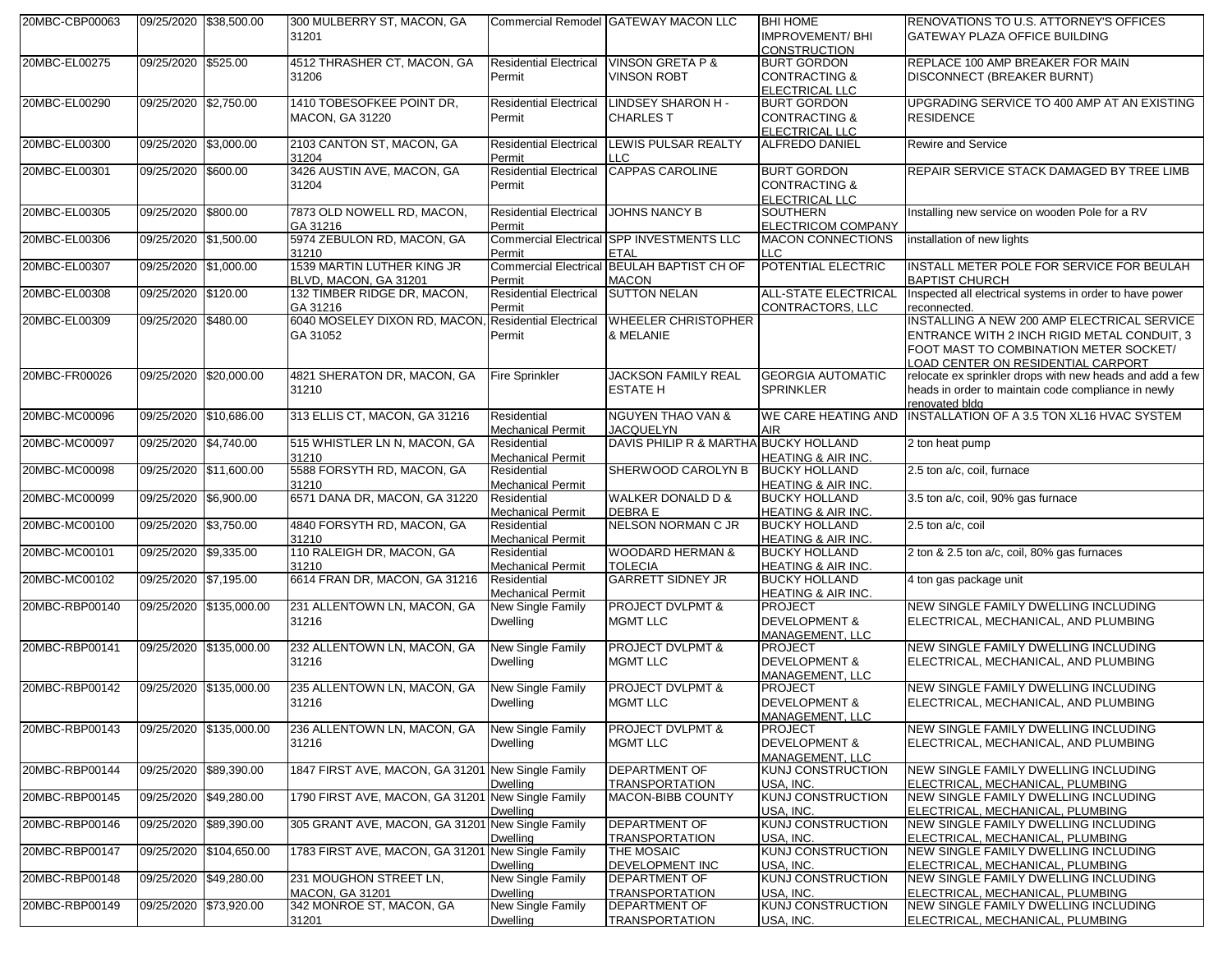| 20MBC-CBP00063 |                       | 09/25/2020 \$38,500.00  | 300 MULBERRY ST, MACON, GA                                       |                               | Commercial Remodel GATEWAY MACON LLC          | <b>BHI HOME</b>                       | RENOVATIONS TO U.S. ATTORNEY'S OFFICES                                   |
|----------------|-----------------------|-------------------------|------------------------------------------------------------------|-------------------------------|-----------------------------------------------|---------------------------------------|--------------------------------------------------------------------------|
|                |                       |                         | 31201                                                            |                               |                                               | <b>IMPROVEMENT/BHI</b>                | GATEWAY PLAZA OFFICE BUILDING                                            |
|                |                       |                         |                                                                  |                               |                                               | <b>CONSTRUCTION</b>                   |                                                                          |
| 20MBC-EL00275  | 09/25/2020 \$525.00   |                         | 4512 THRASHER CT, MACON, GA                                      | <b>Residential Electrical</b> | <b>VINSON GRETA P &amp;</b>                   | <b>BURT GORDON</b>                    | REPLACE 100 AMP BREAKER FOR MAIN                                         |
|                |                       |                         | 31206                                                            | Permit                        | <b>VINSON ROBT</b>                            | <b>CONTRACTING &amp;</b>              | <b>DISCONNECT (BREAKER BURNT)</b>                                        |
|                |                       |                         |                                                                  |                               |                                               | ELECTRICAL LLC                        |                                                                          |
| 20MBC-EL00290  | 09/25/2020 \$2,750.00 |                         | 1410 TOBESOFKEE POINT DR.                                        | <b>Residential Electrical</b> | LINDSEY SHARON H -                            | <b>BURT GORDON</b>                    | UPGRADING SERVICE TO 400 AMP AT AN EXISTING                              |
|                |                       |                         | <b>MACON, GA 31220</b>                                           | Permit                        | <b>CHARLES T</b>                              | <b>CONTRACTING &amp;</b>              | <b>RESIDENCE</b>                                                         |
|                |                       |                         |                                                                  |                               |                                               | ELECTRICAL LLC                        |                                                                          |
| 20MBC-EL00300  | 09/25/2020 \$3,000.00 |                         | 2103 CANTON ST, MACON, GA                                        | <b>Residential Electrical</b> | <b>LEWIS PULSAR REALTY</b>                    | <b>ALFREDO DANIEL</b>                 | <b>Rewire and Service</b>                                                |
|                |                       |                         | 31204                                                            | Permit                        | LLC.                                          |                                       |                                                                          |
| 20MBC-EL00301  | 09/25/2020 \$600.00   |                         | 3426 AUSTIN AVE, MACON, GA                                       | <b>Residential Electrical</b> | <b>CAPPAS CAROLINE</b>                        | <b>BURT GORDON</b>                    | REPAIR SERVICE STACK DAMAGED BY TREE LIMB                                |
|                |                       |                         | 31204                                                            | Permit                        |                                               | <b>CONTRACTING &amp;</b>              |                                                                          |
|                |                       |                         |                                                                  |                               |                                               | ELECTRICAL LLC                        |                                                                          |
| 20MBC-EL00305  | 09/25/2020 \$800.00   |                         | 7873 OLD NOWELL RD, MACON,                                       | <b>Residential Electrical</b> | <b>JOHNS NANCY B</b>                          | SOUTHERN                              | Installing new service on wooden Pole for a RV                           |
|                |                       |                         | GA 31216                                                         | Permit                        |                                               | ELECTRICOM COMPANY                    |                                                                          |
| 20MBC-EL00306  | 09/25/2020 \$1,500.00 |                         | 5974 ZEBULON RD, MACON, GA                                       |                               | Commercial Electrical SPP INVESTMENTS LLC     | <b>MACON CONNECTIONS</b>              | installation of new lights                                               |
|                |                       |                         | 31210                                                            | Permit                        | <b>ETAL</b>                                   | LLC                                   |                                                                          |
| 20MBC-EL00307  | 09/25/2020 \$1,000.00 |                         | 1539 MARTIN LUTHER KING JR                                       |                               | Commercial Electrical BEULAH BAPTIST CH OF    | POTENTIAL ELECTRIC                    | INSTALL METER POLE FOR SERVICE FOR BEULAH                                |
|                |                       |                         | BLVD, MACON, GA 31201                                            | Permit                        | <b>MACON</b>                                  |                                       | <b>BAPTIST CHURCH</b>                                                    |
| 20MBC-EL00308  | 09/25/2020 \$120.00   |                         | 132 TIMBER RIDGE DR, MACON,                                      | <b>Residential Electrical</b> | <b>SUTTON NELAN</b>                           | <b>ALL-STATE ELECTRICAL</b>           | Inspected all electrical systems in order to have power                  |
|                |                       |                         |                                                                  |                               |                                               |                                       |                                                                          |
| 20MBC-EL00309  | 09/25/2020 \$480.00   |                         | GA 31216<br>6040 MOSELEY DIXON RD, MACON, Residential Electrical | Permit                        | <b>WHEELER CHRISTOPHER</b>                    | CONTRACTORS, LLC                      | reconnected.<br>INSTALLING A NEW 200 AMP ELECTRICAL SERVICE              |
|                |                       |                         |                                                                  |                               |                                               |                                       |                                                                          |
|                |                       |                         | GA 31052                                                         | Permit                        | & MELANIE                                     |                                       | ENTRANCE WITH 2 INCH RIGID METAL CONDUIT, 3                              |
|                |                       |                         |                                                                  |                               |                                               |                                       | FOOT MAST TO COMBINATION METER SOCKET/                                   |
|                |                       |                         |                                                                  |                               |                                               |                                       | LOAD CENTER ON RESIDENTIAL CARPORT                                       |
| 20MBC-FR00026  |                       | 09/25/2020 \$20,000.00  | 4821 SHERATON DR, MACON, GA                                      | <b>Fire Sprinkler</b>         | <b>JACKSON FAMILY REAL</b>                    | <b>GEORGIA AUTOMATIC</b>              | relocate ex sprinkler drops with new heads and add a few                 |
|                |                       |                         | 31210                                                            |                               | <b>ESTATE H</b>                               | <b>SPRINKLER</b>                      | heads in order to maintain code compliance in newly                      |
|                |                       |                         |                                                                  |                               |                                               |                                       | renovated bldg                                                           |
| 20MBC-MC00096  |                       | 09/25/2020 \$10,686.00  | 313 ELLIS CT, MACON, GA 31216                                    | Residential                   | <b>NGUYEN THAO VAN &amp;</b>                  | WE CARE HEATING AND                   | INSTALLATION OF A 3.5 TON XL16 HVAC SYSTEM                               |
|                |                       |                         |                                                                  | <b>Mechanical Permit</b>      | <b>JACQUELYN</b>                              | <b>AIR</b>                            |                                                                          |
| 20MBC-MC00097  | 09/25/2020 \$4,740.00 |                         | 515 WHISTLER LN N, MACON, GA                                     | Residential                   | DAVIS PHILIP R & MARTHA BUCKY HOLLAND         |                                       | 2 ton heat pump                                                          |
|                |                       |                         | 31210                                                            | <b>Mechanical Permit</b>      |                                               | <b>HEATING &amp; AIR INC.</b>         |                                                                          |
| 20MBC-MC00098  |                       | 09/25/2020 \$11,600.00  | 5588 FORSYTH RD, MACON, GA                                       | Residential                   | SHERWOOD CAROLYN B                            | <b>BUCKY HOLLAND</b>                  | 2.5 ton a/c, coil, furnace                                               |
|                |                       |                         | 31210                                                            | <b>Mechanical Permit</b>      |                                               | HEATING & AIR INC.                    |                                                                          |
| 20MBC-MC00099  | 09/25/2020 \$6,900.00 |                         | 6571 DANA DR, MACON, GA 31220                                    | Residential                   | <b>WALKER DONALD D &amp;</b>                  | <b>BUCKY HOLLAND</b>                  | 3.5 ton a/c, coil, 90% gas furnace                                       |
|                |                       |                         |                                                                  | <b>Mechanical Permit</b>      | DEBRA E                                       | HEATING & AIR INC.                    |                                                                          |
| 20MBC-MC00100  | 09/25/2020 \$3,750.00 |                         | 4840 FORSYTH RD, MACON, GA                                       | Residential                   | NELSON NORMAN C JR                            | <b>BUCKY HOLLAND</b>                  | 2.5 ton a/c, coil                                                        |
|                |                       |                         | 31210                                                            | <b>Mechanical Permit</b>      |                                               | HEATING & AIR INC.                    |                                                                          |
| 20MBC-MC00101  | 09/25/2020 \$9,335.00 |                         | 110 RALEIGH DR, MACON, GA                                        | Residential                   | <b>WOODARD HERMAN &amp;</b>                   | <b>BUCKY HOLLAND</b>                  | 2 ton & 2.5 ton a/c, coil, 80% gas furnaces                              |
|                |                       |                         | 31210                                                            | <b>Mechanical Permit</b>      | <b>TOLECIA</b>                                | <b>HEATING &amp; AIR INC.</b>         |                                                                          |
| 20MBC-MC00102  | 09/25/2020 \$7,195.00 |                         | 6614 FRAN DR, MACON, GA 31216                                    | Residential                   | <b>GARRETT SIDNEY JR</b>                      | <b>BUCKY HOLLAND</b>                  | 4 ton gas package unit                                                   |
|                |                       |                         |                                                                  | <b>Mechanical Permit</b>      |                                               | HEATING & AIR INC.                    |                                                                          |
| 20MBC-RBP00140 |                       | 09/25/2020 \$135,000.00 | 231 ALLENTOWN LN, MACON, GA                                      | New Single Family             | <b>PROJECT DVLPMT &amp;</b>                   | <b>PROJECT</b>                        | NEW SINGLE FAMILY DWELLING INCLUDING                                     |
|                |                       |                         | 31216                                                            | <b>Dwelling</b>               | <b>MGMT LLC</b>                               | <b>DEVELOPMENT &amp;</b>              | ELECTRICAL, MECHANICAL, AND PLUMBING                                     |
|                |                       |                         |                                                                  |                               |                                               | <b>MANAGEMENT, LLC</b>                |                                                                          |
| 20MBC-RBP00141 |                       | 09/25/2020 \$135,000.00 | 232 ALLENTOWN LN, MACON, GA                                      | New Single Family             | <b>PROJECT DVLPMT &amp;</b>                   | PROJECT                               | NEW SINGLE FAMILY DWELLING INCLUDING                                     |
|                |                       |                         | 31216                                                            | <b>Dwelling</b>               | <b>MGMT LLC</b>                               | <b>DEVELOPMENT &amp;</b>              | ELECTRICAL, MECHANICAL, AND PLUMBING                                     |
|                |                       |                         |                                                                  |                               |                                               | MANAGEMENT. LLC                       |                                                                          |
| 20MBC-RBP00142 |                       | 09/25/2020 \$135,000.00 | 235 ALLENTOWN LN, MACON, GA                                      | New Single Family             | <b>PROJECT DVLPMT &amp;</b>                   | <b>PROJECT</b>                        | NEW SINGLE FAMILY DWELLING INCLUDING                                     |
|                |                       |                         | 31216                                                            | <b>Dwelling</b>               | <b>MGMT LLC</b>                               | <b>DEVELOPMENT &amp;</b>              | ELECTRICAL, MECHANICAL, AND PLUMBING                                     |
|                |                       |                         |                                                                  |                               |                                               | <b>MANAGEMENT, LLC</b>                |                                                                          |
| 20MBC-RBP00143 |                       | 09/25/2020 \$135,000.00 | 236 ALLENTOWN LN, MACON, GA                                      | New Single Family             | <b>PROJECT DVLPMT &amp;</b>                   | <b>PROJECT</b>                        | NEW SINGLE FAMILY DWELLING INCLUDING                                     |
|                |                       |                         | 31216                                                            | <b>Dwelling</b>               | <b>MGMT LLC</b>                               | <b>DEVELOPMENT &amp;</b>              | ELECTRICAL, MECHANICAL, AND PLUMBING                                     |
|                |                       |                         |                                                                  |                               |                                               | MANAGEMENT, LLC                       |                                                                          |
| 20MBC-RBP00144 |                       | 09/25/2020 \$89,390.00  | 1847 FIRST AVE, MACON, GA 31201 New Single Family                |                               | <b>DEPARTMENT OF</b>                          | KUNJ CONSTRUCTION                     | <b>NEW SINGLE FAMILY DWELLING INCLUDING</b>                              |
|                |                       |                         |                                                                  | <b>Dwelling</b>               | <b>TRANSPORTATION</b>                         | USA. INC.                             | ELECTRICAL, MECHANICAL, PLUMBING                                         |
| 20MBC-RBP00145 |                       | 09/25/2020 \$49,280.00  | 1790 FIRST AVE, MACON, GA 31201 New Single Family                |                               | <b>MACON-BIBB COUNTY</b>                      | <b>KUNJ CONSTRUCTION</b>              | NEW SINGLE FAMILY DWELLING INCLUDING                                     |
|                |                       |                         |                                                                  | <b>Dwelling</b>               |                                               | USA, INC.                             | ELECTRICAL, MECHANICAL, PLUMBING                                         |
| 20MBC-RBP00146 |                       | 09/25/2020 \$89,390.00  | 305 GRANT AVE, MACON, GA 31201 New Single Family                 |                               | <b>DEPARTMENT OF</b>                          | <b>KUNJ CONSTRUCTION</b>              | <b>NEW SINGLE FAMILY DWELLING INCLUDING</b>                              |
|                |                       |                         |                                                                  | <b>Dwelling</b>               | <b>TRANSPORTATION</b>                         | USA, INC.                             | ELECTRICAL, MECHANICAL, PLUMBING                                         |
| 20MBC-RBP00147 |                       | 09/25/2020 \$104,650.00 | 1783 FIRST AVE, MACON, GA 31201 New Single Family                |                               | <b>THE MOSAIC</b>                             | <b>KUNJ CONSTRUCTION</b>              | <b>NEW SINGLE FAMILY DWELLING INCLUDING</b>                              |
|                |                       |                         |                                                                  | <b>Dwelling</b>               |                                               |                                       | ELECTRICAL, MECHANICAL, PLUMBING                                         |
| 20MBC-RBP00148 |                       | 09/25/2020 \$49,280.00  | 231 MOUGHON STREET LN,                                           | New Single Family             | DEVELOPMENT INC<br><b>DEPARTMENT OF</b>       | USA. INC.<br><b>KUNJ CONSTRUCTION</b> | NEW SINGLE FAMILY DWELLING INCLUDING                                     |
|                |                       |                         | <b>MACON, GA 31201</b>                                           | <b>Dwelling</b>               |                                               |                                       |                                                                          |
| 20MBC-RBP00149 |                       | 09/25/2020 \$73,920.00  | 342 MONROE ST, MACON, GA                                         | New Single Family             | <b>TRANSPORTATION</b><br><b>DEPARTMENT OF</b> | USA. INC<br><b>KUNJ CONSTRUCTION</b>  | ELECTRICAL, MECHANICAL, PLUMBING<br>NEW SINGLE FAMILY DWELLING INCLUDING |
|                |                       |                         |                                                                  |                               |                                               |                                       |                                                                          |
|                |                       |                         | 31201                                                            | <b>Dwelling</b>               | <b>TRANSPORTATION</b>                         | USA, INC.                             | ELECTRICAL, MECHANICAL, PLUMBING                                         |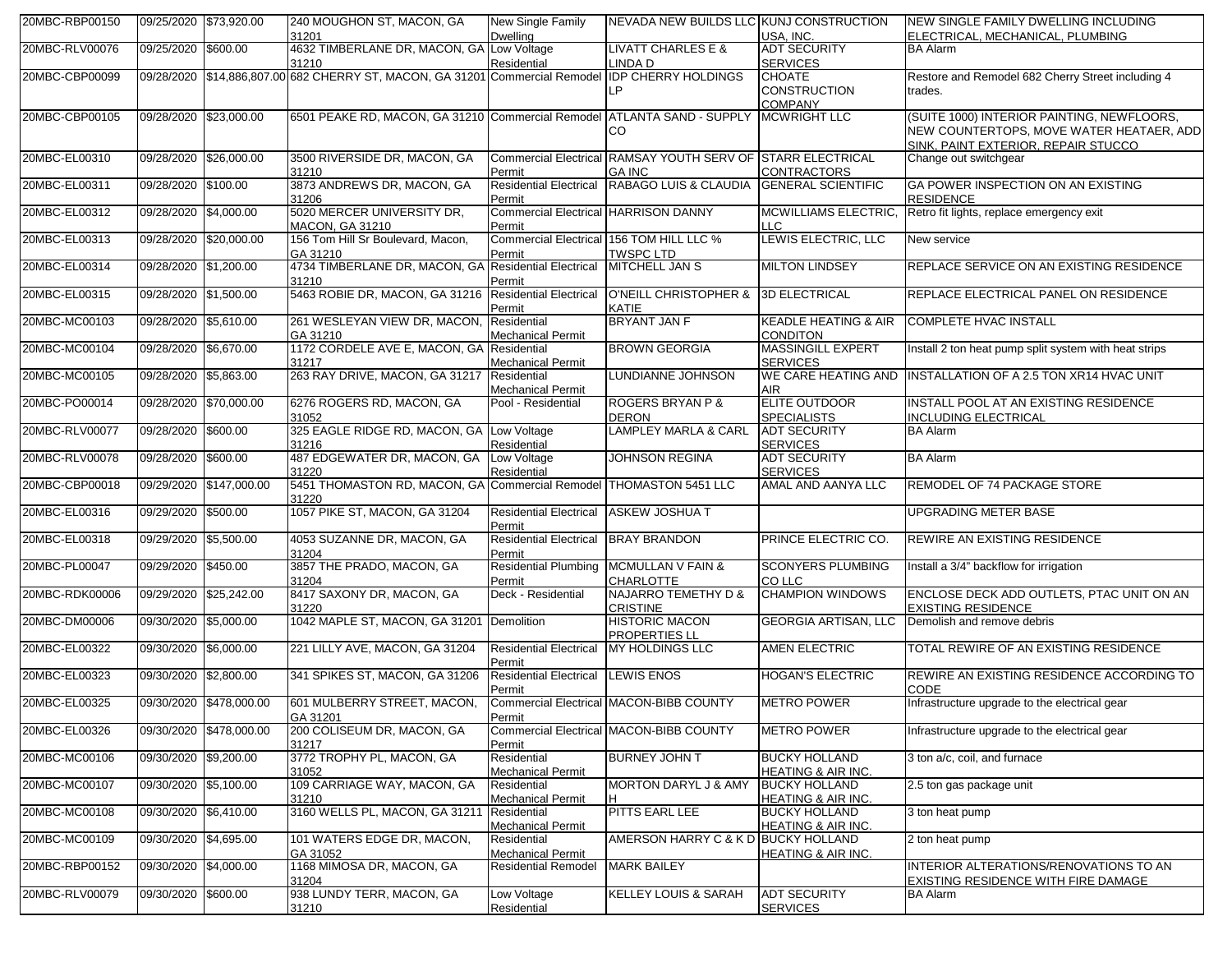| 20MBC-RBP00150 | 09/25/2020 \$73,920.00 |                         | 240 MOUGHON ST, MACON, GA<br>31201                                           | New Single Family<br><b>Dwelling</b>                  | NEVADA NEW BUILDS LLC KUNJ CONSTRUCTION                                      | USA, INC.                                              | NEW SINGLE FAMILY DWELLING INCLUDING<br>ELECTRICAL, MECHANICAL, PLUMBING                                                      |
|----------------|------------------------|-------------------------|------------------------------------------------------------------------------|-------------------------------------------------------|------------------------------------------------------------------------------|--------------------------------------------------------|-------------------------------------------------------------------------------------------------------------------------------|
| 20MBC-RLV00076 | 09/25/2020 \$600.00    |                         | 4632 TIMBERLANE DR, MACON, GA Low Voltage<br>31210                           | Residential                                           | <b>LIVATT CHARLES E &amp;</b><br>LINDA D                                     | <b>ADT SECURITY</b><br><b>SERVICES</b>                 | <b>BA Alarm</b>                                                                                                               |
| 20MBC-CBP00099 |                        |                         | 09/28/2020 \$14,886,807.00 682 CHERRY ST, MACON, GA 31201 Commercial Remodel |                                                       | <b>IDP CHERRY HOLDINGS</b><br>LP                                             | <b>CHOATE</b><br><b>CONSTRUCTION</b><br><b>COMPANY</b> | Restore and Remodel 682 Cherry Street including 4<br>trades.                                                                  |
| 20MBC-CBP00105 | 09/28/2020             | \$23,000.00             | 6501 PEAKE RD, MACON, GA 31210 Commercial Remodel ATLANTA SAND - SUPPLY      |                                                       | CO                                                                           | <b>MCWRIGHT LLC</b>                                    | (SUITE 1000) INTERIOR PAINTING, NEWFLOORS,<br>NEW COUNTERTOPS, MOVE WATER HEATAER, ADD<br>SINK, PAINT EXTERIOR, REPAIR STUCCO |
| 20MBC-EL00310  | 09/28/2020 \$26,000.00 |                         | 3500 RIVERSIDE DR, MACON, GA<br>31210                                        | Permit                                                | Commercial Electrical RAMSAY YOUTH SERV OF STARR ELECTRICAL<br><b>GA INC</b> | <b>CONTRACTORS</b>                                     | Change out switchgear                                                                                                         |
| 20MBC-EL00311  | 09/28/2020 \$100.00    |                         | 3873 ANDREWS DR, MACON, GA<br>31206                                          | <b>Residential Electrical</b><br>Permit               | RABAGO LUIS & CLAUDIA                                                        | <b>GENERAL SCIENTIFIC</b>                              | GA POWER INSPECTION ON AN EXISTING<br><b>RESIDENCE</b>                                                                        |
| 20MBC-EL00312  | 09/28/2020 \$4,000.00  |                         | 5020 MERCER UNIVERSITY DR,<br><b>MACON, GA 31210</b>                         | <b>Commercial Electrical HARRISON DANNY</b><br>Permit |                                                                              | <b>MCWILLIAMS ELECTRIC,</b><br><b>LLC</b>              | Retro fit lights, replace emergency exit                                                                                      |
| 20MBC-EL00313  |                        | 09/28/2020 \$20,000.00  | 156 Tom Hill Sr Boulevard, Macon,<br>GA 31210                                | Permit                                                | Commercial Electrical 156 TOM HILL LLC %<br><b>TWSPC LTD</b>                 | LEWIS ELECTRIC, LLC                                    | New service                                                                                                                   |
| 20MBC-EL00314  | 09/28/2020 \$1,200.00  |                         | 4734 TIMBERLANE DR, MACON, GA Residential Electrical<br>31210                | Permit                                                | <b>MITCHELL JAN S</b>                                                        | <b>MILTON LINDSEY</b>                                  | REPLACE SERVICE ON AN EXISTING RESIDENCE                                                                                      |
| 20MBC-EL00315  | 09/28/2020 \$1,500.00  |                         | 5463 ROBIE DR, MACON, GA 31216                                               | <b>Residential Electrical</b><br>Permit               | O'NEILL CHRISTOPHER &<br>KATIE                                               | <b>3D ELECTRICAL</b>                                   | REPLACE ELECTRICAL PANEL ON RESIDENCE                                                                                         |
| 20MBC-MC00103  | 09/28/2020             | \$5,610.00              | 261 WESLEYAN VIEW DR, MACON,<br>GA 31210                                     | Residential<br><b>Mechanical Permit</b>               | BRYANT JAN F                                                                 | <b>KEADLE HEATING &amp; AIR</b><br><b>CONDITON</b>     | <b>COMPLETE HVAC INSTALL</b>                                                                                                  |
| 20MBC-MC00104  | 09/28/2020             | \$6,670.00              | 1172 CORDELE AVE E, MACON, GA Residential<br>31217                           | <b>Mechanical Permit</b>                              | <b>BROWN GEORGIA</b>                                                         | <b>MASSINGILL EXPERT</b><br><b>SERVICES</b>            | Install 2 ton heat pump split system with heat strips                                                                         |
| 20MBC-MC00105  | 09/28/2020             | \$5,863.00              | 263 RAY DRIVE, MACON, GA 31217                                               | Residential<br><b>Mechanical Permit</b>               | LUNDIANNE JOHNSON                                                            | WE CARE HEATING AND<br><b>AIR</b>                      | <b>INSTALLATION OF A 2.5 TON XR14 HVAC UNIT</b>                                                                               |
| 20MBC-PO00014  |                        | 09/28/2020 \$70.000.00  | 6276 ROGERS RD, MACON, GA<br>31052                                           | Pool - Residential                                    | <b>ROGERS BRYAN P &amp;</b><br><b>DERON</b>                                  | ELITE OUTDOOR<br><b>SPECIALISTS</b>                    | <b>INSTALL POOL AT AN EXISTING RESIDENCE</b><br><b>INCLUDING ELECTRICAL</b>                                                   |
| 20MBC-RLV00077 | 09/28/2020             | \$600.00                | 325 EAGLE RIDGE RD, MACON, GA<br>31216                                       | Low Voltage<br>Residential                            | <b>LAMPLEY MARLA &amp; CARL</b>                                              | <b>ADT SECURITY</b><br><b>SERVICES</b>                 | <b>BA Alarm</b>                                                                                                               |
| 20MBC-RLV00078 | 09/28/2020             | \$600.00                | 487 EDGEWATER DR, MACON, GA<br>31220                                         | Low Voltage<br>Residential                            | <b>JOHNSON REGINA</b>                                                        | <b>ADT SECURITY</b><br><b>SERVICES</b>                 | <b>BA Alarm</b>                                                                                                               |
| 20MBC-CBP00018 |                        | 09/29/2020 \$147,000.00 | 5451 THOMASTON RD, MACON, GA Commercial Remodel<br>31220                     |                                                       | THOMASTON 5451 LLC                                                           | AMAL AND AANYA LLC                                     | REMODEL OF 74 PACKAGE STORE                                                                                                   |
| 20MBC-EL00316  | 09/29/2020 \$500.00    |                         | 1057 PIKE ST, MACON, GA 31204                                                | <b>Residential Electrical</b><br>Permit               | <b>ASKEW JOSHUA T</b>                                                        |                                                        | UPGRADING METER BASE                                                                                                          |
| 20MBC-EL00318  | 09/29/2020             | \$5,500.00              | 4053 SUZANNE DR, MACON, GA<br>31204                                          | <b>Residential Electrical</b><br>Permit               | <b>BRAY BRANDON</b>                                                          | PRINCE ELECTRIC CO.                                    | REWIRE AN EXISTING RESIDENCE                                                                                                  |
| 20MBC-PL00047  | 09/29/2020 \$450.00    |                         | 3857 THE PRADO, MACON, GA<br>31204                                           | Permit                                                | Residential Plumbing MCMULLAN V FAIN &<br><b>CHARLOTTE</b>                   | <b>SCONYERS PLUMBING</b><br>CO LLC                     | Install a 3/4" backflow for irrigation                                                                                        |
| 20MBC-RDK00006 |                        | 09/29/2020 \$25,242.00  | 8417 SAXONY DR, MACON, GA<br>31220                                           | Deck - Residential                                    | <b>NAJARRO TEMETHY D &amp;</b><br><b>CRISTINE</b>                            | <b>CHAMPION WINDOWS</b>                                | ENCLOSE DECK ADD OUTLETS, PTAC UNIT ON AN<br><b>EXISTING RESIDENCE</b>                                                        |
| 20MBC-DM00006  | 09/30/2020 \$5,000.00  |                         | 1042 MAPLE ST, MACON, GA 31201 Demolition                                    |                                                       | <b>HISTORIC MACON</b><br><b>PROPERTIES LL</b>                                | <b>GEORGIA ARTISAN, LLC</b>                            | Demolish and remove debris                                                                                                    |
| 20MBC-EL00322  | 09/30/2020 \$6,000.00  |                         | 221 LILLY AVE, MACON, GA 31204                                               | <b>Residential Electrical</b><br>Permit               | <b>MY HOLDINGS LLC</b>                                                       | <b>AMEN ELECTRIC</b>                                   | TOTAL REWIRE OF AN EXISTING RESIDENCE                                                                                         |
| 20MBC-EL00323  | 09/30/2020             | \$2,800.00              | 341 SPIKES ST, MACON, GA 31206                                               | <b>Residential Electrical</b><br>Permit               | <b>LEWIS ENOS</b>                                                            | HOGAN'S ELECTRIC                                       | REWIRE AN EXISTING RESIDENCE ACCORDING TO<br>CODE                                                                             |
| 20MBC-EL00325  |                        | 09/30/2020 \$478,000.00 | 601 MULBERRY STREET, MACON,<br>GA 31201                                      | Permit                                                | Commercial Electrical MACON-BIBB COUNTY                                      | <b>METRO POWER</b>                                     | Infrastructure upgrade to the electrical gear                                                                                 |
| 20MBC-EL00326  |                        | 09/30/2020 \$478,000.00 | 200 COLISEUM DR, MACON, GA<br>31217                                          | Permit                                                | Commercial Electrical MACON-BIBB COUNTY                                      | <b>METRO POWER</b>                                     | Infrastructure upgrade to the electrical gear                                                                                 |
| 20MBC-MC00106  | 09/30/2020 \$9,200.00  |                         | 3772 TROPHY PL, MACON, GA<br>31052                                           | Residential<br><b>Mechanical Permit</b>               | <b>BURNEY JOHN T</b>                                                         | <b>BUCKY HOLLAND</b><br>HEATING & AIR INC.             | 3 ton a/c, coil, and furnace                                                                                                  |
| 20MBC-MC00107  | 09/30/2020 \$5,100.00  |                         | 109 CARRIAGE WAY, MACON, GA<br>31210                                         | Residential<br><b>Mechanical Permit</b>               | <b>MORTON DARYL J &amp; AMY</b>                                              | <b>BUCKY HOLLAND</b><br>HEATING & AIR INC.             | 2.5 ton gas package unit                                                                                                      |
| 20MBC-MC00108  | 09/30/2020 \$6,410.00  |                         | 3160 WELLS PL, MACON, GA 31211                                               | Residential<br><b>Mechanical Permit</b>               | PITTS EARL LEE                                                               | <b>BUCKY HOLLAND</b><br>HEATING & AIR INC.             | 3 ton heat pump                                                                                                               |
| 20MBC-MC00109  | 09/30/2020 \$4,695.00  |                         | 101 WATERS EDGE DR, MACON,<br>GA 31052                                       | Residential<br><b>Mechanical Permit</b>               | AMERSON HARRY C & K D                                                        | <b>BUCKY HOLLAND</b><br>HEATING & AIR INC.             | 2 ton heat pump                                                                                                               |
| 20MBC-RBP00152 | 09/30/2020 \$4,000.00  |                         | 1168 MIMOSA DR, MACON, GA<br>31204                                           | <b>Residential Remodel</b>                            | <b>MARK BAILEY</b>                                                           |                                                        | INTERIOR ALTERATIONS/RENOVATIONS TO AN<br>EXISTING RESIDENCE WITH FIRE DAMAGE                                                 |
| 20MBC-RLV00079 | 09/30/2020 \$600.00    |                         | 938 LUNDY TERR, MACON, GA<br>31210                                           | Low Voltage<br>Residential                            | <b>KELLEY LOUIS &amp; SARAH</b>                                              | <b>ADT SECURITY</b><br><b>SERVICES</b>                 | BA Alarm                                                                                                                      |